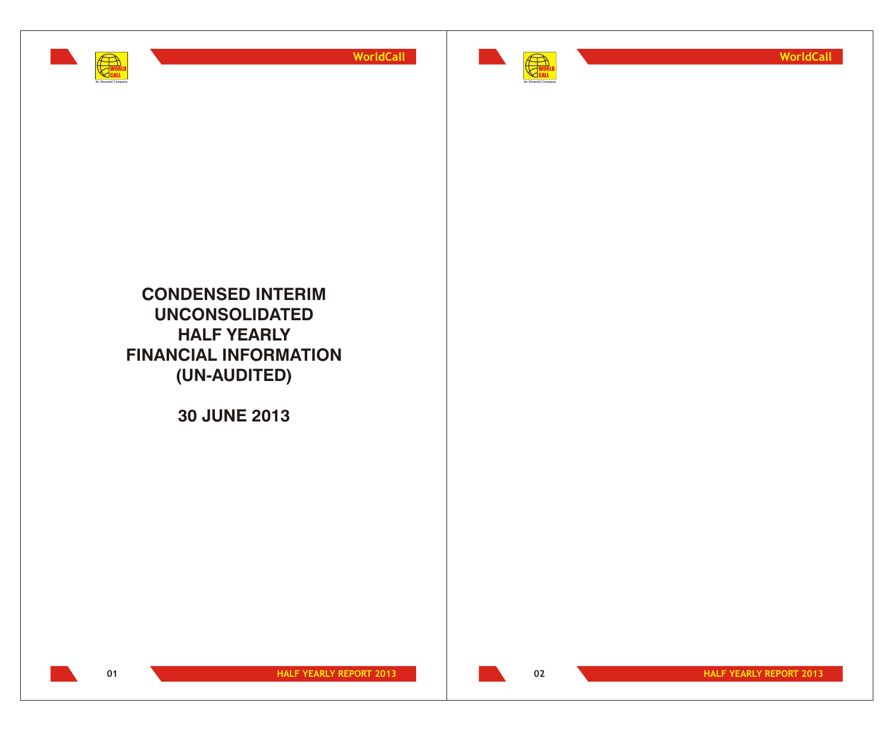





**CONDENSED INTERIM UNCONSOLIDATED HALF YEARLY FINANCIAL INFORMATION (UN-AUDITED)**

**30 JUNE 2013**

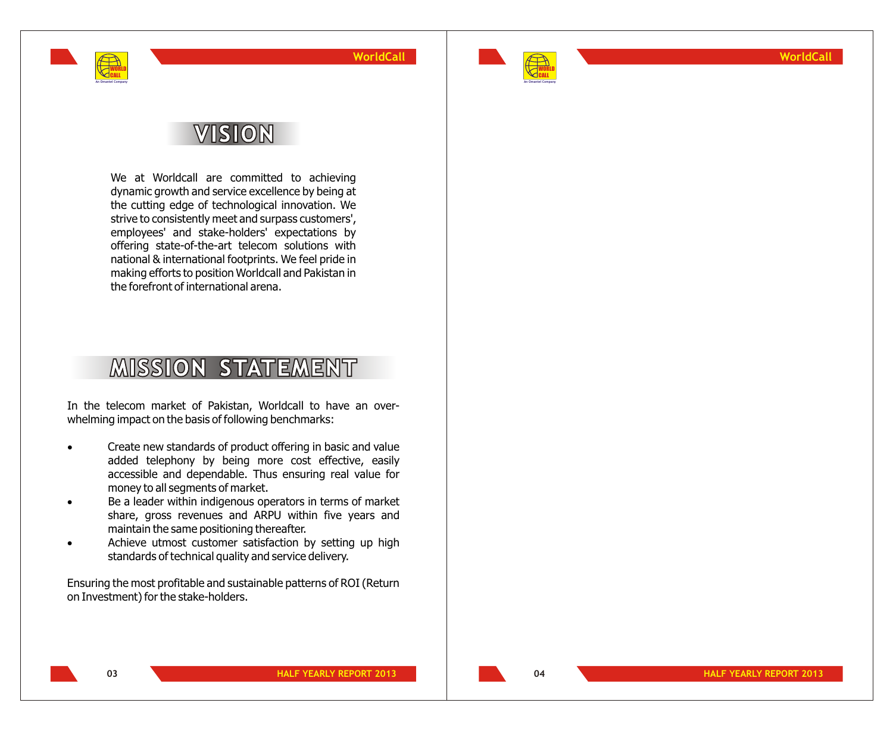

**WORLD** CALL **An Omantel Company** **WorldCall**



**WorldCall**

# VISION

We at Worldcall are committed to achieving dynamic growth and service excellence by being at the cutting edge of technological innovation. We strive to consistently meet and surpass customers', employees' and stake-holders' expectations by offering state-of-the-art telecom solutions with national & international footprints. We feel pride in making efforts to position Worldcall and Pakistan in the forefront of international arena.

# **MISSION STATEMENT**

In the telecom market of Pakistan, Worldcall to have an overwhelming impact on the basis of following benchmarks:

> Create new standards of product offering in basic and value added telephony by being more cost effective, easily accessible and dependable. Thus ensuring real value for money to all segments of market.

> Be a leader within indigenous operators in terms of market share, gross revenues and ARPU within five years and maintain the same positioning thereafter.

> Achieve utmost customer satisfaction by setting up high standards of technical quality and service delivery.

Ensuring the most profitable and sustainable patterns of ROI (Return on Investment) for the stake-holders.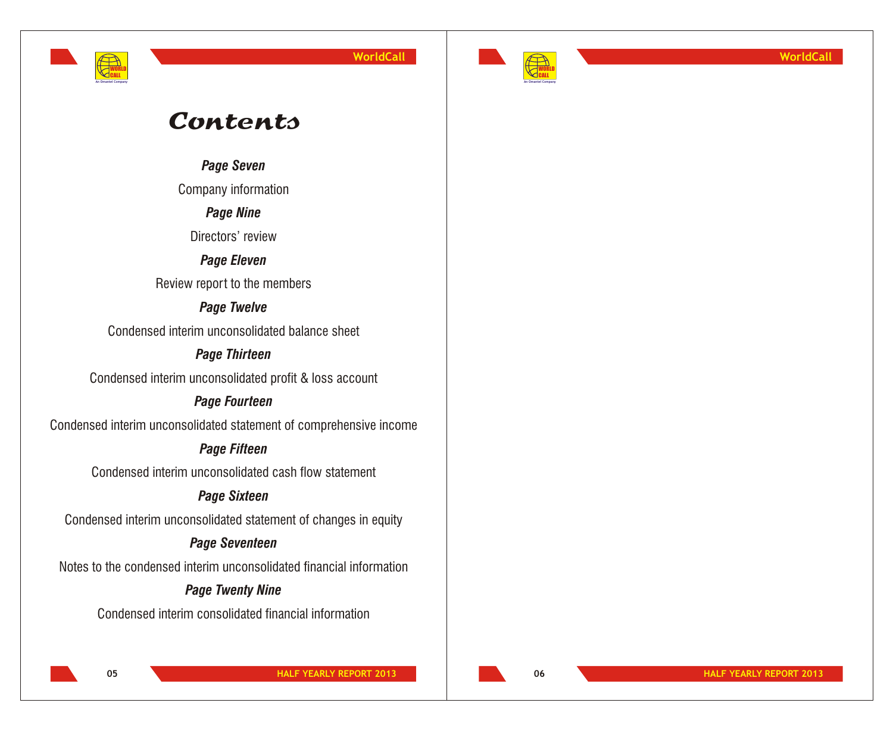



**WorldCall**

# **Contents**

*Page Seven*

Company information

# *Page Nine*

Directors' review

# *Page Eleven*

Review report to the members

# *Page Twelve*

Condensed interim unconsolidated balance sheet

# *Page Thirteen*

Condensed interim unconsolidated profit & loss account

# *Page Fourteen*

Condensed interim unconsolidated statement of comprehensive income

# *Page Fifteen*

Condensed interim unconsolidated cash flow statement

# *Page Sixteen*

Condensed interim unconsolidated statement of changes in equity

# *Page Seventeen*

Notes to the condensed interim unconsolidated financial information

# *Page Twenty Nine*

Condensed interim consolidated financial information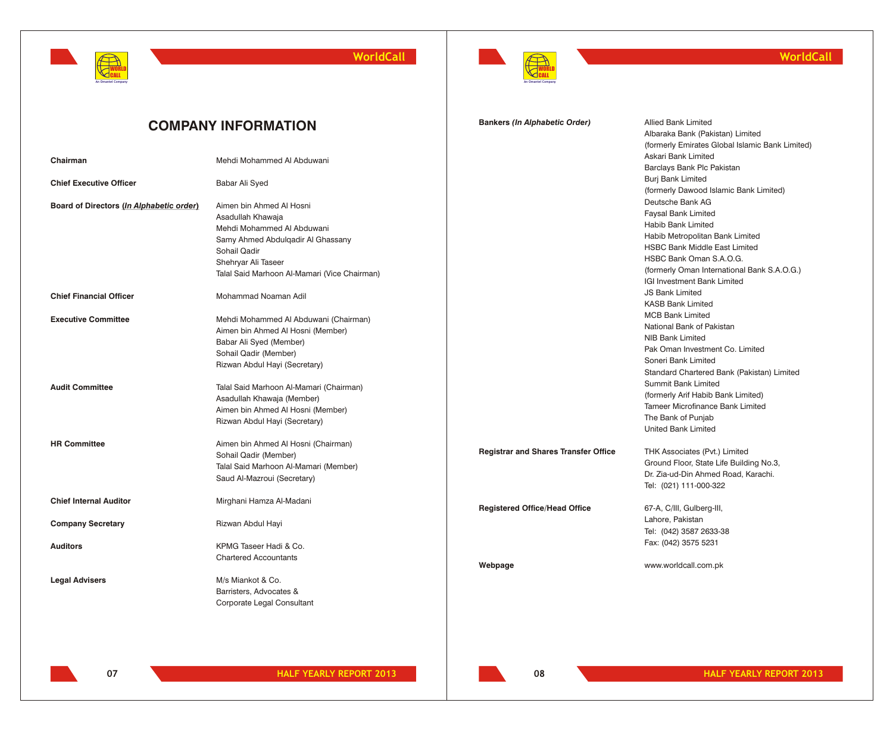



**Bankers** *(In Alphabetic Order)* Allied Bank Limited

Albaraka Bank (Pakistan) Limited

## **WorldCall**

# **COMPANY INFORMATION**

|                                          |                                              |                                             | (formerly Emirates Global Islamic Bank Limited) |
|------------------------------------------|----------------------------------------------|---------------------------------------------|-------------------------------------------------|
| Chairman                                 | Mehdi Mohammed Al Abduwani                   |                                             | Askari Bank Limited                             |
|                                          |                                              |                                             | Barclays Bank Plc Pakistan                      |
| <b>Chief Executive Officer</b>           | Babar Ali Syed                               |                                             | <b>Burj Bank Limited</b>                        |
|                                          |                                              |                                             | (formerly Dawood Islamic Bank Limited)          |
| Board of Directors (In Alphabetic order) | Aimen bin Ahmed Al Hosni                     |                                             | Deutsche Bank AG                                |
|                                          | Asadullah Khawaja                            |                                             | <b>Faysal Bank Limited</b>                      |
|                                          | Mehdi Mohammed Al Abduwani                   |                                             | Habib Bank Limited                              |
|                                          | Samy Ahmed Abdulgadir Al Ghassany            |                                             | Habib Metropolitan Bank Limited                 |
|                                          | Sohail Qadir                                 |                                             | <b>HSBC Bank Middle East Limited</b>            |
|                                          | Shehryar Ali Taseer                          |                                             | HSBC Bank Oman S.A.O.G.                         |
|                                          | Talal Said Marhoon Al-Mamari (Vice Chairman) |                                             | (formerly Oman International Bank S.A.O.G.)     |
|                                          |                                              |                                             | <b>IGI Investment Bank Limited</b>              |
| <b>Chief Financial Officer</b>           | Mohammad Noaman Adil                         |                                             | <b>JS Bank Limited</b>                          |
|                                          |                                              |                                             | <b>KASB Bank Limited</b>                        |
| <b>Executive Committee</b>               | Mehdi Mohammed Al Abduwani (Chairman)        |                                             | <b>MCB Bank Limited</b>                         |
|                                          | Aimen bin Ahmed Al Hosni (Member)            |                                             | National Bank of Pakistan                       |
|                                          | Babar Ali Syed (Member)                      |                                             | <b>NIB Bank Limited</b>                         |
|                                          | Sohail Qadir (Member)                        |                                             | Pak Oman Investment Co. Limited                 |
|                                          | Rizwan Abdul Hayi (Secretary)                |                                             | Soneri Bank Limited                             |
|                                          |                                              |                                             | Standard Chartered Bank (Pakistan) Limited      |
| <b>Audit Committee</b>                   | Talal Said Marhoon Al-Mamari (Chairman)      |                                             | <b>Summit Bank Limited</b>                      |
|                                          | Asadullah Khawaja (Member)                   |                                             | (formerly Arif Habib Bank Limited)              |
|                                          | Aimen bin Ahmed Al Hosni (Member)            |                                             | <b>Tameer Microfinance Bank Limited</b>         |
|                                          | Rizwan Abdul Hayi (Secretary)                |                                             | The Bank of Punjab                              |
|                                          |                                              |                                             | <b>United Bank Limited</b>                      |
| <b>HR Committee</b>                      | Aimen bin Ahmed Al Hosni (Chairman)          |                                             |                                                 |
|                                          | Sohail Qadir (Member)                        | <b>Registrar and Shares Transfer Office</b> | THK Associates (Pvt.) Limited                   |
|                                          | Talal Said Marhoon Al-Mamari (Member)        |                                             | Ground Floor, State Life Building No.3,         |
|                                          | Saud Al-Mazroui (Secretary)                  |                                             | Dr. Zia-ud-Din Ahmed Road, Karachi.             |
|                                          |                                              |                                             | Tel: (021) 111-000-322                          |
| <b>Chief Internal Auditor</b>            | Mirghani Hamza Al-Madani                     |                                             |                                                 |
|                                          |                                              | <b>Registered Office/Head Office</b>        | 67-A, C/III, Gulberg-III,                       |
| <b>Company Secretary</b>                 | Rizwan Abdul Hayi                            |                                             | Lahore, Pakistan                                |
|                                          |                                              |                                             | Tel: (042) 3587 2633-38                         |
| <b>Auditors</b>                          | KPMG Taseer Hadi & Co.                       |                                             | Fax: (042) 3575 5231                            |
|                                          | <b>Chartered Accountants</b>                 |                                             |                                                 |
|                                          |                                              | Webpage                                     | www.worldcall.com.pk                            |
| <b>Legal Advisers</b>                    | M/s Miankot & Co.                            |                                             |                                                 |
|                                          | Barristers, Advocates &                      |                                             |                                                 |
|                                          | Corporate Legal Consultant                   |                                             |                                                 |
|                                          |                                              |                                             |                                                 |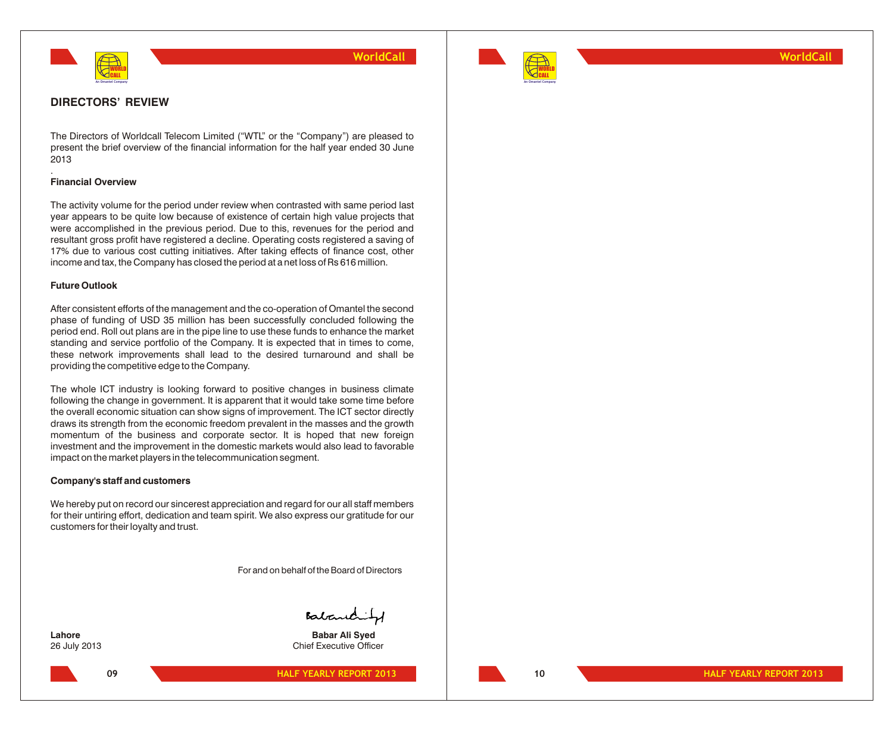



### **WorldCall**

### **DIRECTORS' REVIEW**

The Directors of Worldcall Telecom Limited ("WTL" or the "Company") are pleased to present the brief overview of the financial information for the half year ended 30 June 2013

#### **Financial Overview**

.

The activity volume for the period under review when contrasted with same period last year appears to be quite low because of existence of certain high value projects that were accomplished in the previous period. Due to this, revenues for the period and resultant gross profit have registered a decline. Operating costs registered a saving of 17% due to various cost cutting initiatives. After taking effects of finance cost, other income and tax, the Company has closed the period at a net loss of Rs 616 million.

#### **Future Outlook**

After consistent efforts of the management and the co-operation of Omantel the second phase of funding of USD 35 million has been successfully concluded following the period end. Roll out plans are in the pipe line to use these funds to enhance the market standing and service portfolio of the Company. It is expected that in times to come, these network improvements shall lead to the desired turnaround and shall be providing the competitive edge to the Company.

The whole ICT industry is looking forward to positive changes in business climate following the change in government. It is apparent that it would take some time before the overall economic situation can show signs of improvement. The ICT sector directly draws its strength from the economic freedom prevalent in the masses and the growth momentum of the business and corporate sector. It is hoped that new foreign investment and the improvement in the domestic markets would also lead to favorable impact on the market players in the telecommunication segment.

#### **Company's staff and customers**

We hereby put on record our sincerest appreciation and regard for our all staff members for their untiring effort, dedication and team spirit. We also express our gratitude for our customers for their loyalty and trust.

For and on behalf of the Board of Directors

Babanchity

**Lahore Babar Ali Syed** 26 July 2013 Chief Executive Officer

**HALF YEARLY REPORT 2013**

**10 HALF YEARLY REPORT 2013**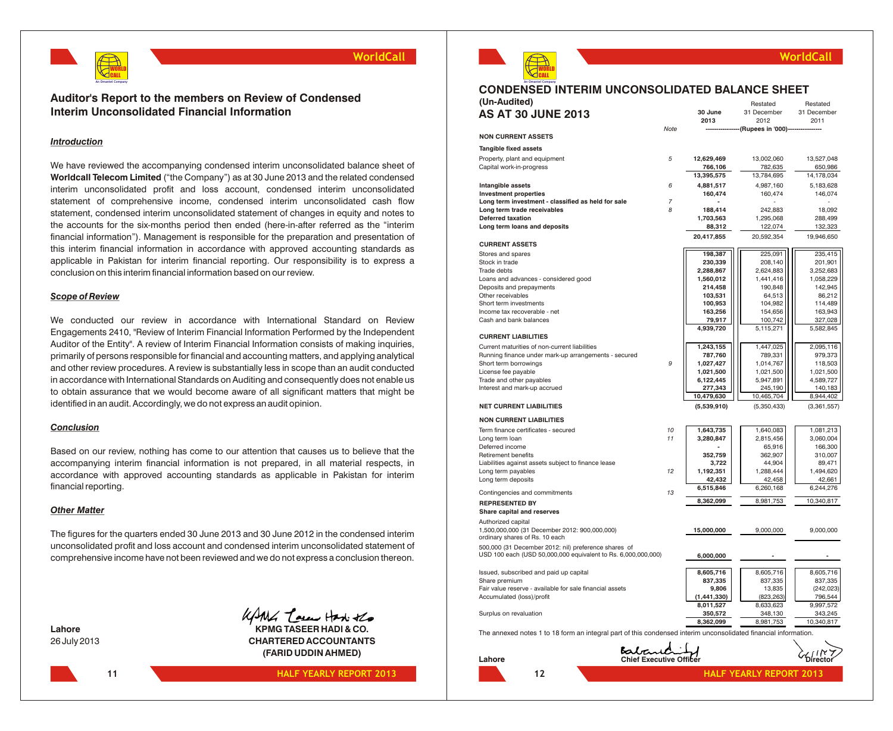

### **Auditor's Report to the members on Review of Condensed Interim Unconsolidated Financial Information**

#### *Introduction*

We have reviewed the accompanying condensed interim unconsolidated balance sheet of **Worldcall Telecom Limited** ("the Company") as at 30 June 2013 and the related condensed interim unconsolidated profit and loss account, condensed interim unconsolidated statement of comprehensive income, condensed interim unconsolidated cash flow statement, condensed interim unconsolidated statement of changes in equity and notes to the accounts for the six-months period then ended (here-in-after referred as the "interim financial information"). Management is responsible for the preparation and presentation of this interim financial information in accordance with approved accounting standards as applicable in Pakistan for interim financial reporting. Our responsibility is to express a conclusion on this interim financial information based on our review.

#### *Scope of Review*

We conducted our review in accordance with International Standard on Review Engagements 2410, "Review of Interim Financial Information Performed by the Independent Auditor of the Entity". A review of Interim Financial Information consists of making inquiries, primarily of persons responsible for financial and accounting matters, and applying analytical and other review procedures. A review is substantially less in scope than an audit conducted in accordance with International Standards on Auditing and consequently does not enable us to obtain assurance that we would become aware of all significant matters that might be identified in an audit. Accordingly, we do not express an audit opinion.

#### *Conclusion*

Based on our review, nothing has come to our attention that causes us to believe that the accompanying interim financial information is not prepared, in all material respects, in accordance with approved accounting standards as applicable in Pakistan for interim financial reporting.

#### *Other Matter*

The figures for the quarters ended 30 June 2013 and 30 June 2012 in the condensed interim unconsolidated profit and loss account and condensed interim unconsolidated statement of comprehensive income have not been reviewed and we do not express a conclusion thereon.

**11**



**Lahore KPMG TASEER HADI & CO.** 26 July 2013 **CHARTERED ACCOUNTANTS (FARID UDDIN AHMED)**

**HALF YEARLY REPORT 2013**



**An Omantel Company**

# **CONDENSED INTERIM UNCONSOLIDATED BALANCE SHEET**

| (Un-Audited)                                                                                                          |                |             | Restated           | Restated    |
|-----------------------------------------------------------------------------------------------------------------------|----------------|-------------|--------------------|-------------|
| <b>AS AT 30 JUNE 2013</b>                                                                                             |                | 30 June     | 31 December        | 31 December |
|                                                                                                                       |                | 2013        | 2012               | 2011        |
|                                                                                                                       | Note           |             | (Rupees in '000)-- |             |
| <b>NON CURRENT ASSETS</b>                                                                                             |                |             |                    |             |
| Tangible fixed assets                                                                                                 |                |             |                    |             |
| Property, plant and equipment                                                                                         | 5              | 12,629,469  | 13,002,060         | 13,527,048  |
| Capital work-in-progress                                                                                              |                | 766,106     | 782,635            | 650,986     |
|                                                                                                                       |                | 13,395,575  | 13,784,695         | 14,178,034  |
| Intangible assets                                                                                                     | 6              | 4,881,517   | 4,987,160          | 5,183,628   |
| <b>Investment properties</b>                                                                                          |                | 160,474     | 160,474            | 146,074     |
| Long term investment - classified as held for sale                                                                    | $\overline{7}$ |             |                    |             |
| Long term trade receivables                                                                                           | 8              | 188,414     | 242,883            | 18,092      |
| <b>Deferred taxation</b>                                                                                              |                | 1,703,563   | 1,295,068          | 288,499     |
| Long term loans and deposits                                                                                          |                | 88,312      | 122,074            | 132,323     |
|                                                                                                                       |                | 20,417,855  | 20,592,354         | 19,946,650  |
| <b>CURRENT ASSETS</b>                                                                                                 |                |             |                    |             |
| Stores and spares                                                                                                     |                | 198,387     | 225,091            | 235,415     |
| Stock in trade                                                                                                        |                | 230,339     | 208,140            | 201,901     |
| Trade debts                                                                                                           |                | 2,288,867   | 2,624,883          | 3,252,683   |
| Loans and advances - considered good                                                                                  |                | 1,560,012   | 1,441,416          | 1,058,229   |
| Deposits and prepayments                                                                                              |                | 214,458     | 190,848            | 142,945     |
| Other receivables                                                                                                     |                | 103,531     | 64,513             | 86,212      |
| Short term investments                                                                                                |                | 100,953     | 104,982            | 114,489     |
| Income tax recoverable - net                                                                                          |                | 163,256     | 154,656            | 163,943     |
| Cash and bank balances                                                                                                |                | 79,917      | 100,742            | 327,028     |
|                                                                                                                       |                | 4,939,720   | 5,115,271          | 5,582,845   |
| <b>CURRENT LIABILITIES</b>                                                                                            |                |             |                    |             |
| Current maturities of non-current liabilities                                                                         |                | 1,243,155   | 1,447,025          | 2,095,116   |
| Running finance under mark-up arrangements - secured                                                                  |                | 787,760     | 789,331            | 979,373     |
| Short term borrowings                                                                                                 | 9              | 1,027,427   | 1,014,767          | 118,503     |
| License fee payable                                                                                                   |                | 1,021,500   | 1,021,500          | 1,021,500   |
| Trade and other payables                                                                                              |                | 6,122,445   | 5,947,891          | 4,589,727   |
| Interest and mark-up accrued                                                                                          |                | 277,343     | 245,190            | 140,183     |
|                                                                                                                       |                | 10,479,630  | 10,465,704         | 8,944,402   |
| <b>NET CURRENT LIABILITIES</b>                                                                                        |                | (5,539,910) | (5,350,433)        | (3,361,557) |
|                                                                                                                       |                |             |                    |             |
| <b>NON CURRENT LIABILITIES</b>                                                                                        |                |             |                    |             |
| Term finance certificates - secured                                                                                   | 10             | 1,643,735   | 1,640,083          | 1,081,213   |
| Long term loan                                                                                                        | 11             | 3,280,847   | 2,815,456          | 3,060,004   |
| Deferred income                                                                                                       |                |             | 65,916             | 166,300     |
| Retirement benefits                                                                                                   |                | 352,759     | 362,907            | 310,007     |
| Liabilities against assets subject to finance lease                                                                   |                | 3,722       | 44,904             | 89,471      |
| Long term payables                                                                                                    | 12             | 1,192,351   | 1,288,444          | 1,494,620   |
| Long term deposits                                                                                                    |                | 42,432      | 42,458             | 42,661      |
| Contingencies and commitments                                                                                         | 13             | 6,515,846   | 6,260,168          | 6,244,276   |
| <b>REPRESENTED BY</b>                                                                                                 |                | 8,362,099   | 8,981,753          | 10,340,817  |
| Share capital and reserves                                                                                            |                |             |                    |             |
|                                                                                                                       |                |             |                    |             |
| Authorized capital<br>1,500,000,000 (31 December 2012: 900,000,000)                                                   |                | 15,000,000  | 9,000,000          | 9,000,000   |
| ordinary shares of Rs. 10 each                                                                                        |                |             |                    |             |
| 500,000 (31 December 2012: nil) preference shares of<br>USD 100 each (USD 50,000,000 equivalent to Rs. 6,000,000,000) |                | 6,000,000   | $\blacksquare$     | ä,          |
|                                                                                                                       |                |             |                    |             |
| Issued, subscribed and paid up capital                                                                                |                | 8,605,716   | 8,605,716          | 8,605,716   |
| Share premium                                                                                                         |                | 837,335     | 837,335            | 837,335     |
| Fair value reserve - available for sale financial assets                                                              |                | 9,806       | 13,835             | (242, 023)  |
| Accumulated (loss)/profit                                                                                             |                | (1,441,330) | (823, 263)         | 796,544     |
|                                                                                                                       |                | 8,011,527   | 8,633,623          | 9,997,572   |
| Surplus on revaluation                                                                                                |                | 350,572     | 348,130            | 343,245     |
|                                                                                                                       |                | 8,362,099   | 8,981,753          | 10,340,817  |
| The annexed notes 1 to 18 form an integral part of this condensed interim unconsolidated financial information.       |                |             |                    |             |

Babaric **Lahore Chief Executive Officer 12 HALF YEARLY REPORT 2013**



**WorldCall**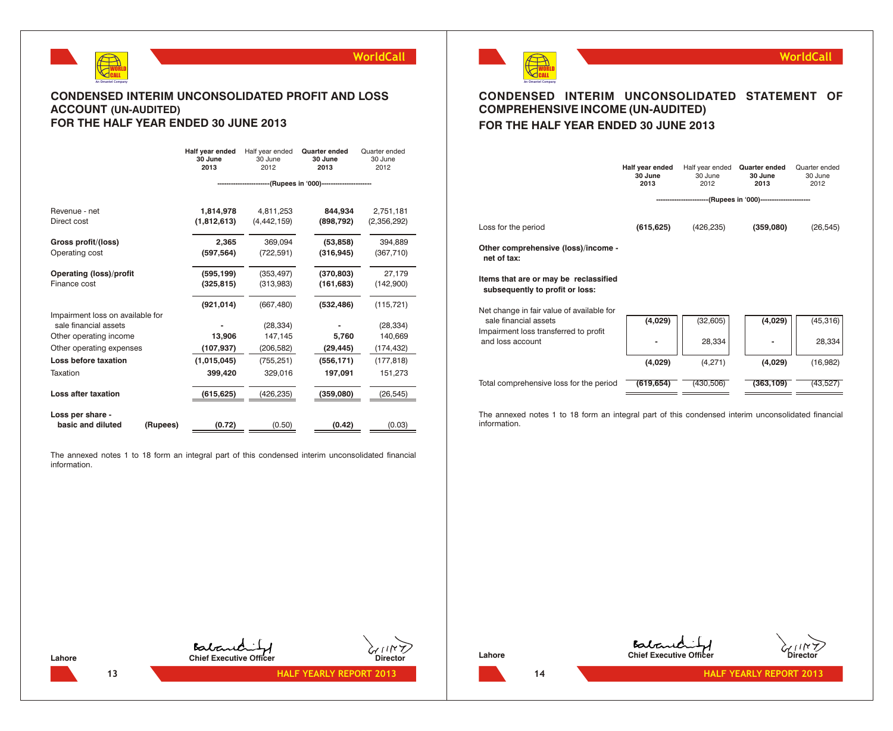

### **CONDENSED INTERIM UNCONSOLIDATED PROFIT AND LOSS ACCOUNT (UN-AUDITED) FOR THE HALF YEAR ENDED 30 JUNE 2013**

|                                                   | Half year ended<br>30 June<br>2013 | Half year ended<br>30 June<br>2012 | <b>Quarter ended</b><br>30 June<br>2013                | Quarter ended<br>30 June<br>2012 |
|---------------------------------------------------|------------------------------------|------------------------------------|--------------------------------------------------------|----------------------------------|
|                                                   |                                    |                                    | ----------------(Rupees in '000)---------------------- |                                  |
| Revenue - net                                     | 1,814,978                          | 4,811,253                          | 844.934                                                | 2,751,181                        |
| Direct cost                                       | (1,812,613)                        | (4, 442, 159)                      | (898, 792)                                             | (2,356,292)                      |
| Gross profit/(loss)                               | 2,365                              | 369,094                            | (53, 858)                                              | 394,889                          |
| Operating cost                                    | (597, 564)                         | (722, 591)                         | (316, 945)                                             | (367, 710)                       |
| <b>Operating (loss)/profit</b>                    | (595, 199)                         | (353, 497)                         | (370, 803)                                             | 27,179                           |
| Finance cost                                      | (325, 815)                         | (313,983)                          | (161, 683)                                             | (142,900)                        |
|                                                   | (921, 014)                         | (667, 480)                         | (532, 486)                                             | (115, 721)                       |
| Impairment loss on available for                  |                                    |                                    |                                                        |                                  |
| sale financial assets                             |                                    | (28, 334)                          |                                                        | (28, 334)                        |
| Other operating income                            | 13,906                             | 147,145                            | 5,760                                                  | 140,669                          |
| Other operating expenses                          | (107, 937)                         | (206, 582)                         | (29, 445)                                              | (174, 432)                       |
| Loss before taxation                              | (1,015,045)                        | (755, 251)                         | (556, 171)                                             | (177, 818)                       |
| Taxation                                          | 399,420                            | 329,016                            | 197,091                                                | 151,273                          |
| Loss after taxation                               | (615,625)                          | (426,235)                          | (359,080)                                              | (26, 545)                        |
|                                                   |                                    |                                    |                                                        |                                  |
| Loss per share -<br>basic and diluted<br>(Rupees) | (0.72)                             | (0.50)                             | (0.42)                                                 | (0.03)                           |

The annexed notes 1 to 18 form an integral part of this condensed interim unconsolidated financial information.

**HALF YEARLY REPORT 2013**



# **CONDENSED INTERIM UNCONSOLIDATED STATEMENT OF COMPREHENSIVE INCOME (UN-AUDITED) FOR THE HALF YEAR ENDED 30 JUNE 2013**

**WorldCall**

|                                                                          | Half year ended<br>30 June<br>2013 | Half year ended<br>30 June<br>2012                    | <b>Quarter ended</b><br>30 June<br>2013 | Quarter ended<br>30 June<br>2012 |
|--------------------------------------------------------------------------|------------------------------------|-------------------------------------------------------|-----------------------------------------|----------------------------------|
|                                                                          |                                    | ----------------(Rupees in '000)--------------------- |                                         |                                  |
| Loss for the period                                                      | (615, 625)                         | (426, 235)                                            | (359,080)                               | (26, 545)                        |
| Other comprehensive (loss)/income -<br>net of tax:                       |                                    |                                                       |                                         |                                  |
| Items that are or may be reclassified<br>subsequently to profit or loss: |                                    |                                                       |                                         |                                  |
| Net change in fair value of available for<br>sale financial assets       | (4,029)                            | (32, 605)                                             | (4,029)                                 | (45, 316)                        |
| Impairment loss transferred to profit<br>and loss account                |                                    | 28,334                                                |                                         | 28,334                           |
|                                                                          | (4,029)                            | (4,271)                                               | (4,029)                                 | (16,982)                         |
| Total comprehensive loss for the period                                  | (619,654)                          | (430.506)                                             | (363.109)                               | (43.527                          |

The annexed notes 1 to 18 form an integral part of this condensed interim unconsolidated financial information.

**14 HALF YEARLY REPORT 2013**

**Lahore Chief Executive Officer Director**

**Lahore Chief Executive Officer Chief Executive Officer Chief Chief Chief Chief Chief Chief Chief Chief Chief Chief Chief Chief Chief Chief Chief Chief Chief Chief Chief Chief Chief Chief Chief Chief Chief Chief Chie**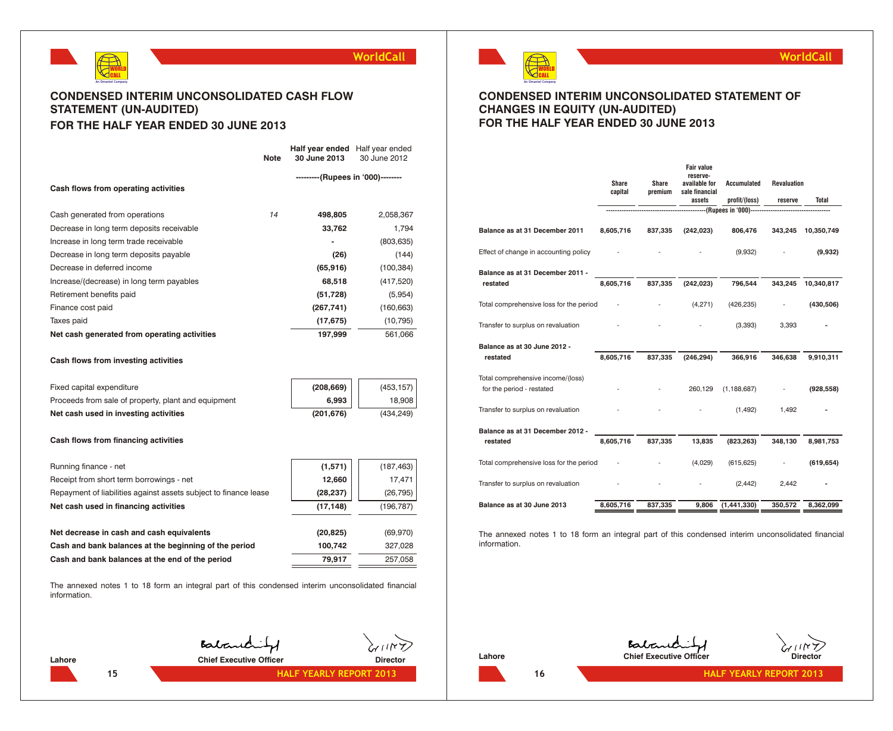

# **CONDENSED INTERIM UNCONSOLIDATED CASH FLOW STATEMENT (UN-AUDITED) FOR THE HALF YEAR ENDED 30 JUNE 2013**

|                                              | <b>Note</b> | Half year ended<br>30 June 2013   | Half year ended<br>30 June 2012 |
|----------------------------------------------|-------------|-----------------------------------|---------------------------------|
| Cash flows from operating activities         |             | ---------(Rupees in '000)-------- |                                 |
| Cash generated from operations               | 14          | 498,805                           | 2,058,367                       |
| Decrease in long term deposits receivable    |             | 33,762                            | 1,794                           |
| Increase in long term trade receivable       |             |                                   | (803, 635)                      |
| Decrease in long term deposits payable       |             | (26)                              | (144)                           |
| Decrease in deferred income                  |             | (65, 916)                         | (100, 384)                      |
| Increase/(decrease) in long term payables    |             | 68,518                            | (417, 520)                      |
| Retirement benefits paid                     |             | (51, 728)                         | (5,954)                         |
| Finance cost paid                            |             | (267, 741)                        | (160, 663)                      |
| Taxes paid                                   |             | (17, 675)                         | (10, 795)                       |
| Net cash generated from operating activities |             | 197,999                           | 561,066                         |

#### **Cash flows from investing activities**

| Fixed capital expenditure                           | (208, 669) | (453, 157) |
|-----------------------------------------------------|------------|------------|
| Proceeds from sale of property, plant and equipment | $6.993$    | 18.908     |
| Net cash used in investing activities               | (201.676)  | (434.249)  |

#### **Cash flows from financing activities**

| Running finance - net                                            | (1,571)   | (187, 463) |
|------------------------------------------------------------------|-----------|------------|
| Receipt from short term borrowings - net                         | 12,660    | 17,471     |
| Repayment of liabilities against assets subject to finance lease | (28, 237) | (26, 795)  |
| Net cash used in financing activities                            | (17, 148) | (196, 787) |
|                                                                  |           |            |
| Net decrease in cash and cash equivalents                        | (20, 825) | (69, 970)  |
| Cash and bank balances at the beginning of the period            | 100,742   | 327,028    |
| Cash and bank balances at the end of the period                  | 79,917    | 257,058    |

The annexed notes 1 to 18 form an integral part of this condensed interim unconsolidated financial information.

**15**

Balanchity

**Lahore Chief Executive Officer Director**

**HALF YEARLY REPORT 2013**



## **CONDENSED INTERIM UNCONSOLIDATED STATEMENT OF CHANGES IN EQUITY (UN-AUDITED) FOR THE HALF YEAR ENDED 30 JUNE 2013**

|                                         | <b>Share</b><br>capital | <b>Share</b><br>premium | <b>Fair value</b><br>reserve-<br>available for<br>sale financial<br>assets | <b>Accumulated</b><br>profit/(loss) | <b>Revaluation</b><br>reserve | <b>Total</b> |
|-----------------------------------------|-------------------------|-------------------------|----------------------------------------------------------------------------|-------------------------------------|-------------------------------|--------------|
|                                         |                         |                         |                                                                            | -----------(Rupees in '000)-------  |                               |              |
| Balance as at 31 December 2011          | 8,605,716               | 837,335                 | (242, 023)                                                                 | 806,476                             | 343,245                       | 10,350,749   |
| Effect of change in accounting policy   |                         |                         |                                                                            | (9,932)                             |                               | (9,932)      |
| Balance as at 31 December 2011 -        |                         |                         |                                                                            |                                     |                               |              |
| restated                                | 8,605,716               | 837,335                 | (242, 023)                                                                 | 796,544                             | 343,245                       | 10,340,817   |
| Total comprehensive loss for the period |                         |                         | (4,271)                                                                    | (426, 235)                          |                               | (430, 506)   |
| Transfer to surplus on revaluation      |                         |                         |                                                                            | (3, 393)                            | 3,393                         |              |
| Balance as at 30 June 2012 -            |                         |                         |                                                                            |                                     |                               |              |
| restated                                | 8,605,716               | 837,335                 | (246, 294)                                                                 | 366,916                             | 346,638                       | 9,910,311    |
| Total comprehensive income/(loss)       |                         |                         |                                                                            |                                     |                               |              |
| for the period - restated               |                         |                         | 260,129                                                                    | (1, 188, 687)                       |                               | (928, 558)   |
| Transfer to surplus on revaluation      |                         |                         |                                                                            | (1, 492)                            | 1,492                         |              |
| Balance as at 31 December 2012 -        |                         |                         |                                                                            |                                     |                               |              |
| restated                                | 8,605,716               | 837,335                 | 13,835                                                                     | (823, 263)                          | 348,130                       | 8,981,753    |
| Total comprehensive loss for the period |                         |                         | (4,029)                                                                    | (615, 625)                          |                               | (619, 654)   |
| Transfer to surplus on revaluation      |                         |                         |                                                                            | (2, 442)                            | 2,442                         |              |
| Balance as at 30 June 2013              | 8,605,716               | 837,335                 | 9,806                                                                      | (1,441,330)                         | 350,572                       | 8,362,099    |

The annexed notes 1 to 18 form an integral part of this condensed interim unconsolidated financial information.

**Chief Executive Officer Chief Executive Officer** 



**16 HALF YEARLY REPORT 2013**

**WorldCall**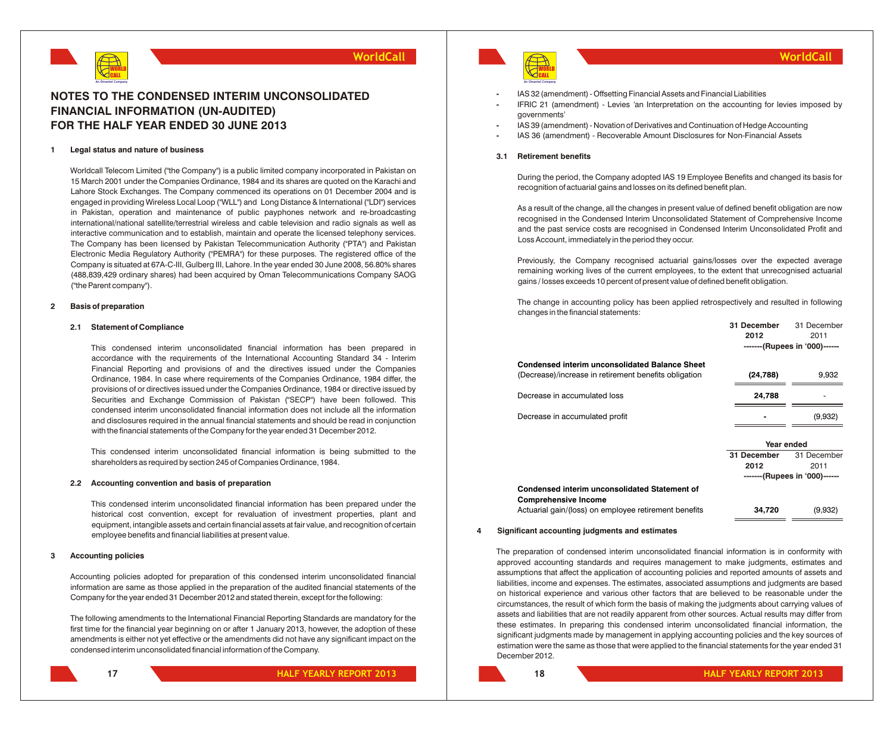

# **NOTES TO THE CONDENSED INTERIM UNCONSOLIDATED FINANCIAL INFORMATION (UN-AUDITED) FOR THE HALF YEAR ENDED 30 JUNE 2013**

#### **1 Legal status and nature of business**

Worldcall Telecom Limited ("the Company") is a public limited company incorporated in Pakistan on 15 March 2001 under the Companies Ordinance, 1984 and its shares are quoted on the Karachi and Lahore Stock Exchanges. The Company commenced its operations on 01 December 2004 and is engaged in providing Wireless Local Loop ("WLL") and Long Distance & International ("LDI") services in Pakistan, operation and maintenance of public payphones network and re-broadcasting international/national satellite/terrestrial wireless and cable television and radio signals as well as interactive communication and to establish, maintain and operate the licensed telephony services. The Company has been licensed by Pakistan Telecommunication Authority ("PTA") and Pakistan Electronic Media Regulatory Authority ("PEMRA") for these purposes. The registered office of the Company is situated at 67A-C-III, Gulberg III, Lahore. In the year ended 30 June 2008, 56.80% shares (488,839,429 ordinary shares) had been acquired by Oman Telecommunications Company SAOG ("the Parent company").

#### **2 Basis of preparation**

#### **2.1 Statement of Compliance**

This condensed interim unconsolidated financial information has been prepared in accordance with the requirements of the International Accounting Standard 34 - Interim Financial Reporting and provisions of and the directives issued under the Companies Ordinance, 1984. In case where requirements of the Companies Ordinance, 1984 differ, the provisions of or directives issued under the Companies Ordinance, 1984 or directive issued by Securities and Exchange Commission of Pakistan ("SECP") have been followed. This condensed interim unconsolidated financial information does not include all the information and disclosures required in the annual financial statements and should be read in conjunction with the financial statements of the Company for the year ended 31 December 2012.

This condensed interim unconsolidated financial information is being submitted to the shareholders as required by section 245 of Companies Ordinance, 1984.

#### **2.2 Accounting convention and basis of preparation**

This condensed interim unconsolidated financial information has been prepared under the historical cost convention, except for revaluation of investment properties, plant and equipment, intangible assets and certain financial assets at fair value, and recognition of certain employee benefits and financial liabilities at present value.

#### **3 Accounting policies**

Accounting policies adopted for preparation of this condensed interim unconsolidated financial information are same as those applied in the preparation of the audited financial statements of the Company for the year ended 31 December 2012 and stated therein, except for the following:

The following amendments to the International Financial Reporting Standards are mandatory for the first time for the financial year beginning on or after 1 January 2013, however, the adoption of these amendments is either not yet effective or the amendments did not have any significant impact on the condensed interim unconsolidated financial information of the Company.



- **-** IAS 32 (amendment) Offsetting Financial Assets and Financial Liabilities
- **-** IFRIC 21 (amendment) Levies *'*an Interpretation on the accounting for levies imposed by governments'
- **-** IAS 39 (amendment) Novation of Derivatives and Continuation of Hedge Accounting
- **-** IAS 36 (amendment) Recoverable Amount Disclosures for Non-Financial Assets

#### **3.1 Retirement benefits**

During the period, the Company adopted IAS 19 Employee Benefits and changed its basis for recognition of actuarial gains and losses on its defined benefit plan.

As a result of the change, all the changes in present value of defined benefit obligation are now recognised in the Condensed Interim Unconsolidated Statement of Comprehensive Income and the past service costs are recognised in Condensed Interim Unconsolidated Profit and Loss Account, immediately in the period they occur.

Previously, the Company recognised actuarial gains/losses over the expected average remaining working lives of the current employees, to the extent that unrecognised actuarial gains / losses exceeds 10 percent of present value of defined benefit obligation.

The change in accounting policy has been applied retrospectively and resulted in following changes in the financial statements:

| 31 December | 31 December                   |
|-------------|-------------------------------|
| 2012        | 2011                          |
|             | -------(Rupees in '000)------ |
|             |                               |
|             | 9,932                         |
|             |                               |
|             |                               |
|             | (9,932)                       |
|             |                               |
| Year ended  |                               |
| 31 December | 31 December                   |
| 2012        | 2011                          |
|             | -------(Rupees in '000)------ |
|             |                               |
| 34,720      | (9,932)                       |
|             | (24, 788)<br>24,788           |

#### **4 Significant accounting judgments and estimates**

The preparation of condensed interim unconsolidated financial information is in conformity with approved accounting standards and requires management to make judgments, estimates and assumptions that affect the application of accounting policies and reported amounts of assets and liabilities, income and expenses. The estimates, associated assumptions and judgments are based on historical experience and various other factors that are believed to be reasonable under the circumstances, the result of which form the basis of making the judgments about carrying values of assets and liabilities that are not readily apparent from other sources. Actual results may differ from these estimates. In preparing this condensed interim unconsolidated financial information, the significant judgments made by management in applying accounting policies and the key sources of estimation were the same as those that were applied to the financial statements for the year ended 31 December 2012.

**17**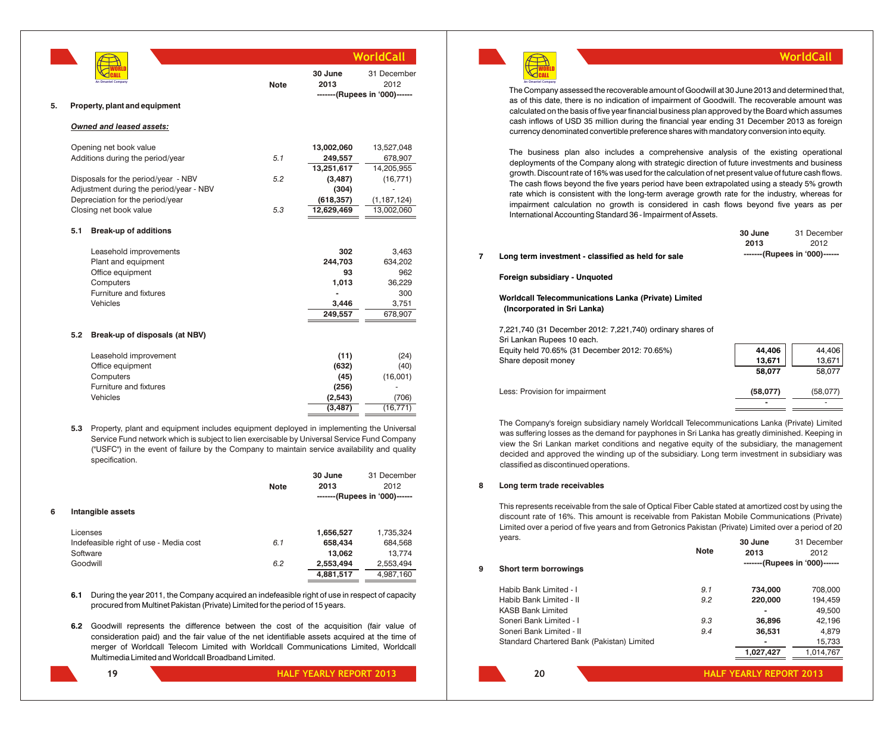| An Omantel Company |  |
|--------------------|--|

|    |     |                                         |             |                 | WorldCall                                            |
|----|-----|-----------------------------------------|-------------|-----------------|------------------------------------------------------|
|    |     | An Omantel Company                      | <b>Note</b> | 30 June<br>2013 | 31 December<br>2012<br>-------(Rupees in '000)------ |
| 5. |     | Property, plant and equipment           |             |                 |                                                      |
|    |     | Owned and leased assets:                |             |                 |                                                      |
|    |     | Opening net book value                  |             | 13,002,060      | 13,527,048                                           |
|    |     | Additions during the period/year        | 5.1         | 249,557         | 678,907                                              |
|    |     |                                         |             | 13,251,617      | 14,205,955                                           |
|    |     | Disposals for the period/year - NBV     | 5.2         | (3, 487)        | (16, 771)                                            |
|    |     | Adjustment during the period/year - NBV |             | (304)           |                                                      |
|    |     | Depreciation for the period/year        |             | (618, 357)      | (1, 187, 124)                                        |
|    |     | Closing net book value                  | 5.3         | 12,629,469      | 13,002,060                                           |
|    | 5.1 | <b>Break-up of additions</b>            |             |                 |                                                      |
|    |     | Leasehold improvements                  |             | 302             | 3,463                                                |
|    |     | Plant and equipment                     |             | 244,703         | 634,202                                              |
|    |     | Office equipment                        |             | 93              | 962                                                  |
|    |     | Computers                               |             | 1,013           | 36,229                                               |
|    |     | Furniture and fixtures                  |             |                 | 300                                                  |
|    |     | Vehicles                                |             | 3,446           | 3,751                                                |

#### **5.2 Break-up of disposals (at NBV)**

| Leasehold improvement  | (11)     | (24)      |
|------------------------|----------|-----------|
| Office equipment       | (632)    | (40)      |
| Computers              | (45)     | (16,001)  |
| Furniture and fixtures | (256)    | ٠         |
| Vehicles               | (2,543)  | (706)     |
|                        | (3, 487) | (16, 771) |
|                        |          |           |

**5.3** Property, plant and equipment includes equipment deployed in implementing the Universal Service Fund network which is subject to lien exercisable by Universal Service Fund Company ("USFC") in the event of failure by the Company to maintain service availability and quality specification.

|   |                                        |             | 30 June   | 31 December                   |
|---|----------------------------------------|-------------|-----------|-------------------------------|
|   |                                        | <b>Note</b> | 2013      | 2012                          |
|   |                                        |             |           | -------(Rupees in '000)------ |
| 6 | Intangible assets                      |             |           |                               |
|   | Licenses                               |             | 1,656,527 | 1,735,324                     |
|   | Indefeasible right of use - Media cost | 6.1         | 658,434   | 684,568                       |
|   | Software                               |             | 13.062    | 13.774                        |
|   | Goodwill                               | 6.2         | 2,553,494 | 2,553,494                     |
|   |                                        |             | 4,881,517 | 4.987.160                     |

- **6.1** During the year 2011, the Company acquired an indefeasible right of use in respect of capacity procured from Multinet Pakistan (Private) Limited for the period of 15 years.
- **6.2** Goodwill represents the difference between the cost of the acquisition (fair value of consideration paid) and the fair value of the net identifiable assets acquired at the time of merger of Worldcall Telecom Limited with Worldcall Communications Limited, Worldcall Multimedia Limited and Worldcall Broadband Limited.

**19**

**HALF YEARLY REPORT 2013**

**249,557** 678,907



**An Omantel Company**

The Company assessed the recoverable amount of Goodwill at 30 June 2013 and determined that, as of this date, there is no indication of impairment of Goodwill. The recoverable amount was calculated on the basis of five year financial business plan approved by the Board which assumes cash inflows of USD 35 million during the financial year ending 31 December 2013 as foreign currency denominated convertible preference shares with mandatory conversion into equity.

The business plan also includes a comprehensive analysis of the existing operational deployments of the Company along with strategic direction of future investments and business growth. Discount rate of 16% was used for the calculation of net present value of future cash flows. The cash flows beyond the five years period have been extrapolated using a steady 5% growth rate which is consistent with the long-term average growth rate for the industry, whereas for impairment calculation no growth is considered in cash flows beyond five years as per International Accounting Standard 36 - Impairment of Assets.

|                                                                                          | 30 June<br>2013 | 31 December<br>2012           |
|------------------------------------------------------------------------------------------|-----------------|-------------------------------|
| Long term investment - classified as held for sale                                       |                 | -------(Rupees in '000)------ |
| Foreign subsidiary - Unguoted                                                            |                 |                               |
| Worldcall Telecommunications Lanka (Private) Limited<br>(Incorporated in Sri Lanka)      |                 |                               |
| 7,221,740 (31 December 2012: 7,221,740) ordinary shares of<br>Sri Lankan Rupees 10 each. |                 |                               |

| Equity held 70.65% (31 December 2012: 70.65%) | 44.406   | 44.406   |
|-----------------------------------------------|----------|----------|
| Share deposit monev                           | 13.671   | 13,671   |
|                                               | 58,077   | 58.077   |
|                                               |          |          |
| Less: Provision for impairment                | (58,077) | (58.077) |
|                                               | -        |          |
|                                               |          |          |

The Company's foreign subsidiary namely Worldcall Telecommunications Lanka (Private) Limited was suffering losses as the demand for payphones in Sri Lanka has greatly diminished. Keeping in view the Sri Lankan market conditions and negative equity of the subsidiary, the management decided and approved the winding up of the subsidiary. Long term investment in subsidiary was classified as discontinued operations.

#### **8 Long term trade receivables**

This represents receivable from the sale of Optical Fiber Cable stated at amortized cost by using the discount rate of 16%. This amount is receivable from Pakistan Mobile Communications (Private) Limited over a period of five years and from Getronics Pakistan (Private) Limited over a period of 20 years. **30 June** 31 December

|   |                                            | <b>Note</b> | 2013                          | 2012      |
|---|--------------------------------------------|-------------|-------------------------------|-----------|
| 9 | Short term borrowings                      |             | -------(Rupees in '000)------ |           |
|   | Habib Bank Limited - I                     | 9.1         | 734.000                       | 708,000   |
|   | Habib Bank Limited - II                    | 9.2         | 220,000                       | 194,459   |
|   | <b>KASB Bank Limited</b>                   |             |                               | 49,500    |
|   | Soneri Bank Limited - I                    | 9.3         | 36,896                        | 42,196    |
|   | Soneri Bank Limited - II                   | 9.4         | 36,531                        | 4,879     |
|   | Standard Chartered Bank (Pakistan) Limited |             |                               | 15,733    |
|   |                                            |             | 1,027,427                     | 1,014,767 |
|   |                                            |             |                               |           |

**WorldCall**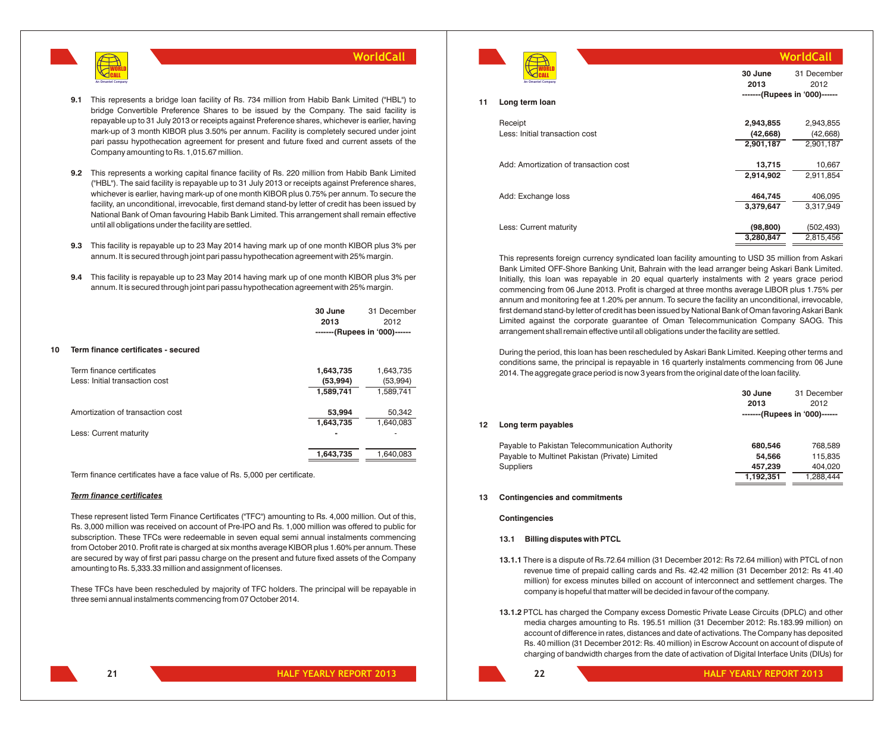

- **9.1** This represents a bridge loan facility of Rs. 734 million from Habib Bank Limited ("HBL") to bridge Convertible Preference Shares to be issued by the Company. The said facility is repayable up to 31 July 2013 or receipts against Preference shares, whichever is earlier, having mark-up of 3 month KIBOR plus 3.50% per annum. Facility is completely secured under joint pari passu hypothecation agreement for present and future fixed and current assets of the Company amounting to Rs. 1,015.67 million.
- **9.2** This represents a working capital finance facility of Rs. 220 million from Habib Bank Limited ("HBL"). The said facility is repayable up to 31 July 2013 or receipts against Preference shares, whichever is earlier, having mark-up of one month KIBOR plus 0.75% per annum. To secure the facility, an unconditional, irrevocable, first demand stand-by letter of credit has been issued by National Bank of Oman favouring Habib Bank Limited. This arrangement shall remain effective until all obligations under the facility are settled.
- **9.3** This facility is repayable up to 23 May 2014 having mark up of one month KIBOR plus 3% per annum. It is secured through joint pari passu hypothecation agreement with 25% margin.
- **9.4** This facility is repayable up to 23 May 2014 having mark up of one month KIBOR plus 3% per annum. It is secured through joint pari passu hypothecation agreement with 25% margin.

|    |                                     | 30 June<br>2013 | 31 December<br>2012           |
|----|-------------------------------------|-----------------|-------------------------------|
|    |                                     |                 | -------(Rupees in '000)------ |
| 10 | Term finance certificates - secured |                 |                               |
|    | Term finance certificates           | 1,643,735       | 1,643,735                     |
|    | Less: Initial transaction cost      | (53,994)        | (53,994)                      |
|    |                                     | 1,589,741       | 1,589,741                     |
|    | Amortization of transaction cost    | 53,994          | 50,342                        |
|    |                                     | 1,643,735       | 1,640,083                     |
|    | Less: Current maturity              |                 |                               |
|    |                                     | 1.643.735       | 1.640.083                     |
|    |                                     |                 |                               |

Term finance certificates have a face value of Rs. 5,000 per certificate.

#### *Term finance certificates*

These represent listed Term Finance Certificates ("TFC") amounting to Rs. 4,000 million. Out of this, Rs. 3,000 million was received on account of Pre-IPO and Rs. 1,000 million was offered to public for subscription. These TFCs were redeemable in seven equal semi annual instalments commencing from October 2010. Profit rate is charged at six months average KIBOR plus 1.60% per annum. These are secured by way of first pari passu charge on the present and future fixed assets of the Company amounting to Rs. 5,333.33 million and assignment of licenses.

These TFCs have been rescheduled by majority of TFC holders. The principal will be repayable in three semi annual instalments commencing from 07 October 2014.

| An Omantel Company |
|--------------------|

|    | An Omantel Company                    | 2013      | 2012<br>-------(Rupees in '000)------ |
|----|---------------------------------------|-----------|---------------------------------------|
| 11 | Long term loan                        |           |                                       |
|    | Receipt                               | 2,943,855 | 2,943,855                             |
|    | Less: Initial transaction cost        | (42, 668) | (42, 668)                             |
|    |                                       | 2,901,187 | 2,901,187                             |
|    |                                       |           |                                       |
|    | Add: Amortization of transaction cost | 13,715    | 10,667                                |
|    |                                       | 2,914,902 | 2,911,854                             |
|    |                                       |           |                                       |
|    | Add: Exchange loss                    | 464,745   | 406,095                               |
|    |                                       | 3,379,647 | 3,317,949                             |
|    |                                       |           |                                       |
|    | Less: Current maturity                | (98, 800) | (502, 493)                            |
|    |                                       | 3,280,847 | 2,815,456                             |
|    |                                       |           |                                       |

**30 June**

31 December

**WorldCall**

This represents foreign currency syndicated loan facility amounting to USD 35 million from Askari Bank Limited OFF-Shore Banking Unit, Bahrain with the lead arranger being Askari Bank Limited. Initially, this loan was repayable in 20 equal quarterly instalments with 2 years grace period commencing from 06 June 2013. Profit is charged at three months average LIBOR plus 1.75% per annum and monitoring fee at 1.20% per annum. To secure the facility an unconditional, irrevocable, first demand stand-by letter of credit has been issued by National Bank of Oman favoring Askari Bank Limited against the corporate guarantee of Oman Telecommunication Company SAOG. This arrangement shall remain effective until all obligations under the facility are settled.

During the period, this loan has been rescheduled by Askari Bank Limited. Keeping other terms and conditions same, the principal is repayable in 16 quarterly instalments commencing from 06 June 2014. The aggregate grace period is now 3 years from the original date of the loan facility.

| 12 | Long term payables                                                                                                    | 30 June<br>2013              | 31 December<br>2012<br>-------(Rupees in '000)------ |
|----|-----------------------------------------------------------------------------------------------------------------------|------------------------------|------------------------------------------------------|
|    | Payable to Pakistan Telecommunication Authority<br>Payable to Multinet Pakistan (Private) Limited<br><b>Suppliers</b> | 680.546<br>54.566<br>457,239 | 768.589<br>115,835<br>404,020                        |
|    |                                                                                                                       | 1,192,351                    | 1.288.444                                            |

#### **13 Contingencies and commitments**

**Contingencies**

#### **13.1 Billing disputes with PTCL**

- **13.1.1** There is a dispute of Rs.72.64 million (31 December 2012: Rs 72.64 million) with PTCL of non revenue time of prepaid calling cards and Rs. 42.42 million (31 December 2012: Rs 41.40 million) for excess minutes billed on account of interconnect and settlement charges. The company is hopeful that matter will be decided in favour of the company.
- **13.1.2** PTCL has charged the Company excess Domestic Private Lease Circuits (DPLC) and other media charges amounting to Rs. 195.51 million (31 December 2012: Rs.183.99 million) on account of difference in rates, distances and date of activations. The Company has deposited Rs. 40 million (31 December 2012: Rs. 40 million) in Escrow Account on account of dispute of charging of bandwidth charges from the date of activation of Digital Interface Units (DIUs) for

**21**

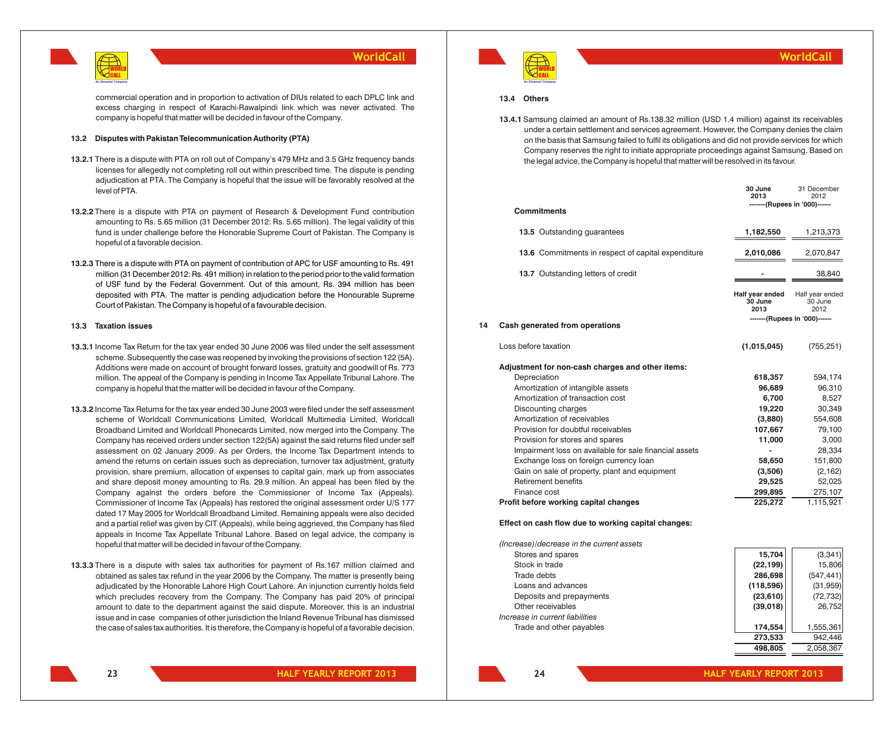

commercial operation and in proportion to activation of DIUs related to each DPLC link and excess charging in respect of Karachi-Rawalpindi link which was never activated. The company is hopeful that matter will be decided in favour of the Company.

#### **13.2 Disputes with Pakistan Telecommunication Authority (PTA)**

- **13.2.1** There is a dispute with PTA on roll out of Company's 479 MHz and 3.5 GHz frequency bands licenses for allegedly not completing roll out within prescribed time. The dispute is pending adjudication at PTA. The Company is hopeful that the issue will be favorably resolved at the level of PTA.
- **13.2.2** There is a dispute with PTA on payment of Research & Development Fund contribution amounting to Rs. 5.65 million (31 December 2012: Rs. 5.65 million). The legal validity of this fund is under challenge before the Honorable Supreme Court of Pakistan. The Company is hopeful of a favorable decision.
- **13.2.3** There is a dispute with PTA on payment of contribution of APC for USF amounting to Rs. 491 million (31 December 2012: Rs. 491 million) in relation to the period prior to the valid formation of USF fund by the Federal Government. Out of this amount, Rs. 394 million has been deposited with PTA. The matter is pending adjudication before the Honourable Supreme Court of Pakistan. The Company is hopeful of a favourable decision.

#### **13.3 Taxation issues**

- **13.3.1** Income Tax Return for the tax year ended 30 June 2006 was filed under the self assessment scheme. Subsequently the case was reopened by invoking the provisions of section 122 (5A). Additions were made on account of brought forward losses, gratuity and goodwill of Rs. 773 million. The appeal of the Company is pending in Income Tax Appellate Tribunal Lahore. The company is hopeful that the matter will be decided in favour of the Company.
- **13.3.2** Income Tax Returns for the tax year ended 30 June 2003 were filed under the self assessment scheme of Worldcall Communications Limited, Worldcall Multimedia Limited, Worldcall Broadband Limited and Worldcall Phonecards Limited, now merged into the Company. The Company has received orders under section 122(5A) against the said returns filed under self assessment on 02 January 2009. As per Orders, the Income Tax Department intends to amend the returns on certain issues such as depreciation, turnover tax adjustment, gratuity provision, share premium, allocation of expenses to capital gain, mark up from associates and share deposit money amounting to Rs. 29.9 million. An appeal has been filed by the Company against the orders before the Commissioner of Income Tax (Appeals). Commissioner of Income Tax (Appeals) has restored the original assessment order U/S 177 dated 17 May 2005 for Worldcall Broadband Limited. Remaining appeals were also decided and a partial relief was given by CIT (Appeals), while being aggrieved, the Company has filed appeals in Income Tax Appellate Tribunal Lahore. Based on legal advice, the company is hopeful that matter will be decided in favour of the Company.
- **13.3.3** There is a dispute with sales tax authorities for payment of Rs.167 million claimed and obtained as sales tax refund in the year 2006 by the Company. The matter is presently being adjudicated by the Honorable Lahore High Court Lahore. An injunction currently holds field which precludes recovery from the Company. The Company has paid 20% of principal amount to date to the department against the said dispute. Moreover, this is an industrial issue and in case companies of other jurisdiction the Inland Revenue Tribunal has dismissed the case of sales tax authorities. It is therefore, the Company is hopeful of a favorable decision.



31 December

**498,805** 2,058,367

**30 June**

#### **13.4 Others**

**13.4.1** Samsung claimed an amount of Rs.138.32 million (USD 1.4 million) against its receivables under a certain settlement and services agreement. However, the Company denies the claim on the basis that Samsung failed to fulfil its obligations and did not provide services for which Company reserves the right to initiate appropriate proceedings against Samsung. Based on the legal advice, the Company is hopeful that matter will be resolved in its favour.

|    |                                                        | <b>JU JUIIE</b><br>2013            | <b>31 DECEMBER</b><br>2012         |
|----|--------------------------------------------------------|------------------------------------|------------------------------------|
|    | <b>Commitments</b>                                     |                                    | -------(Rupees in '000)------      |
|    | 13.5 Outstanding quarantees                            | 1,182,550                          | 1,213,373                          |
|    | 13.6 Commitments in respect of capital expenditure     | 2,010,086                          | 2,070,847                          |
|    | 13.7 Outstanding letters of credit                     |                                    | 38,840                             |
|    |                                                        | Half year ended<br>30 June<br>2013 | Half year ended<br>30 June<br>2012 |
| 14 | Cash generated from operations                         |                                    | -------(Rupees in '000)------      |
|    | Loss before taxation                                   | (1,015,045)                        | (755, 251)                         |
|    | Adjustment for non-cash charges and other items:       |                                    |                                    |
|    | Depreciation                                           | 618,357                            | 594,174                            |
|    | Amortization of intangible assets                      | 96,689                             | 96,310                             |
|    | Amortization of transaction cost                       | 6.700                              | 8,527                              |
|    | Discounting charges                                    | 19,220                             | 30,349                             |
|    | Amortization of receivables                            | (3,880)                            | 554,608                            |
|    | Provision for doubtful receivables                     | 107,667                            | 79,100                             |
|    | Provision for stores and spares                        | 11,000                             | 3,000                              |
|    | Impairment loss on available for sale financial assets |                                    | 28,334                             |
|    | Exchange loss on foreign currency loan                 | 58,650                             | 151,800                            |
|    | Gain on sale of property, plant and equipment          | (3,506)                            | (2, 162)                           |
|    | <b>Retirement benefits</b>                             | 29,525                             | 52,025                             |
|    | Finance cost                                           | 299,895                            | 275,107                            |
|    | Profit before working capital changes                  | 225,272                            | 1,115,921                          |
|    |                                                        |                                    |                                    |

#### **Effect on cash flow due to working capital changes:**

| (Increase)/decrease in the current assets |           |            |
|-------------------------------------------|-----------|------------|
| Stores and spares                         | 15.704    | (3,341)    |
| Stock in trade                            | (22, 199) | 15,806     |
| Trade debts                               | 286,698   | (547, 441) |
| Loans and advances                        | (118,596) | (31, 959)  |
| Deposits and prepayments                  | (23,610)  | (72, 732)  |
| Other receivables                         | (39,018)  | 26,752     |
| Increase in current liabilities           |           |            |
| Trade and other payables                  | 174.554   | 1,555,361  |
|                                           | 273,533   | 942.446    |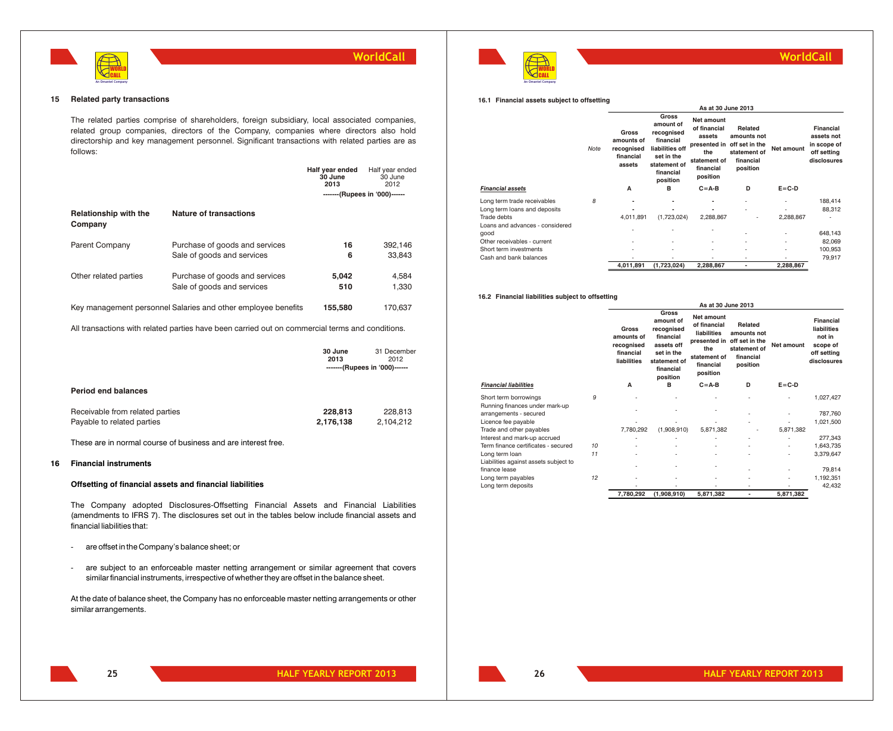



### **WorldCall**

**16.1 Financial assets subject to offsetting**

|                                 |      | As at 30 June 2013                                              |                                                                                                                         |                                                                                                      |                                                                                   |             |                                                                      |
|---------------------------------|------|-----------------------------------------------------------------|-------------------------------------------------------------------------------------------------------------------------|------------------------------------------------------------------------------------------------------|-----------------------------------------------------------------------------------|-------------|----------------------------------------------------------------------|
|                                 | Note | <b>Gross</b><br>amounts of<br>recognised<br>financial<br>assets | Gross<br>amount of<br>recognised<br>financial<br>liabilities off<br>set in the<br>statement of<br>financial<br>position | Net amount<br>of financial<br>assets<br>presented in<br>the<br>statement of<br>financial<br>position | Related<br>amounts not<br>off set in the<br>statement of<br>financial<br>position | Net amount  | Financial<br>assets not<br>in scope of<br>off setting<br>disclosures |
| <b>Financial assets</b>         |      | A                                                               | в                                                                                                                       | $C = A-B$                                                                                            | D                                                                                 | $E = C - D$ |                                                                      |
| Long term trade receivables     | 8    | ٠                                                               | ۰                                                                                                                       | ٠                                                                                                    | $\blacksquare$                                                                    | ٠           | 188.414                                                              |
| Long term loans and deposits    |      |                                                                 | ۰                                                                                                                       | ٠                                                                                                    |                                                                                   |             | 88,312                                                               |
| Trade debts                     |      | 4,011,891                                                       | (1,723,024)                                                                                                             | 2,288,867                                                                                            | ٠                                                                                 | 2,288,867   |                                                                      |
| Loans and advances - considered |      |                                                                 |                                                                                                                         |                                                                                                      |                                                                                   |             |                                                                      |
| good                            |      |                                                                 |                                                                                                                         | ٠                                                                                                    | $\overline{\phantom{a}}$                                                          | ٠           | 648,143                                                              |
| Other receivables - current     |      | ٠                                                               |                                                                                                                         | ٠                                                                                                    | $\blacksquare$                                                                    | ٠           | 82,069                                                               |
| Short term investments          |      | ٠                                                               |                                                                                                                         | ٠                                                                                                    | $\overline{\phantom{a}}$                                                          | ٠           | 100,953                                                              |
| Cash and bank balances          |      |                                                                 |                                                                                                                         |                                                                                                      | $\blacksquare$                                                                    | ٠           | 79,917                                                               |
|                                 |      | 4,011,891                                                       | (1,723,024)                                                                                                             | 2,288,867                                                                                            | ٠                                                                                 | 2,288,867   |                                                                      |

#### **16.2 Financial liabilities subject to offsetting**

|                                       |    |                                                               |                                                                                                                    | As at 30 June 2013                                                                                                       |                                                                 |             |                                                                              |
|---------------------------------------|----|---------------------------------------------------------------|--------------------------------------------------------------------------------------------------------------------|--------------------------------------------------------------------------------------------------------------------------|-----------------------------------------------------------------|-------------|------------------------------------------------------------------------------|
|                                       |    | Gross<br>amounts of<br>recognised<br>financial<br>liabilities | Gross<br>amount of<br>recognised<br>financial<br>assets off<br>set in the<br>statement of<br>financial<br>position | Net amount<br>of financial<br>liabilities<br>presented in off set in the<br>the<br>statement of<br>financial<br>position | Related<br>amounts not<br>statement of<br>financial<br>position | Net amount  | Financial<br>liabilities<br>not in<br>scope of<br>off setting<br>disclosures |
| <b>Financial liabilities</b>          |    | A                                                             | в                                                                                                                  | $C = A - B$                                                                                                              | D                                                               | $E = C - D$ |                                                                              |
| Short term borrowings                 | 9  |                                                               |                                                                                                                    |                                                                                                                          |                                                                 |             | 1,027,427                                                                    |
| Running finances under mark-up        |    |                                                               |                                                                                                                    |                                                                                                                          |                                                                 |             |                                                                              |
| arrangements - secured                |    |                                                               |                                                                                                                    |                                                                                                                          |                                                                 |             | 787,760                                                                      |
| Licence fee payable                   |    |                                                               |                                                                                                                    |                                                                                                                          |                                                                 |             | 1,021,500                                                                    |
| Trade and other payables              |    | 7,780,292                                                     | (1,908,910)                                                                                                        | 5,871,382                                                                                                                |                                                                 | 5,871,382   |                                                                              |
| Interest and mark-up accrued          |    |                                                               |                                                                                                                    |                                                                                                                          |                                                                 |             | 277,343                                                                      |
| Term finance certificates - secured   | 10 |                                                               |                                                                                                                    |                                                                                                                          |                                                                 |             | 1,643,735                                                                    |
| Long term loan                        | 11 |                                                               |                                                                                                                    |                                                                                                                          |                                                                 |             | 3,379,647                                                                    |
| Liabilities against assets subject to |    |                                                               |                                                                                                                    |                                                                                                                          |                                                                 |             |                                                                              |
| finance lease                         |    |                                                               |                                                                                                                    |                                                                                                                          |                                                                 |             | 79,814                                                                       |
| Long term payables                    | 12 |                                                               |                                                                                                                    |                                                                                                                          |                                                                 |             | 1,192,351                                                                    |
| Long term deposits                    |    |                                                               |                                                                                                                    |                                                                                                                          | ٠                                                               |             | 42,432                                                                       |
|                                       |    | 7,780,292                                                     | (1,908,910)                                                                                                        | 5,871,382                                                                                                                | ٠                                                               | 5,871,382   |                                                                              |

#### **15 Related party transactions**

The related parties comprise of shareholders, foreign subsidiary, local associated companies, related group companies, directors of the Company, companies where directors also hold directorship and key management personnel. Significant transactions with related parties are as follows:

|                                                               |                                                                                                 | Half year ended<br>30 June<br>2013 | Half year ended<br>30 June<br>2012                   |
|---------------------------------------------------------------|-------------------------------------------------------------------------------------------------|------------------------------------|------------------------------------------------------|
|                                                               |                                                                                                 |                                    | ------- (Rupees in '000)------                       |
| <b>Relationship with the</b><br>Company                       | <b>Nature of transactions</b>                                                                   |                                    |                                                      |
| <b>Parent Company</b>                                         | Purchase of goods and services<br>Sale of goods and services                                    | 16<br>6                            | 392,146<br>33,843                                    |
| Other related parties                                         | Purchase of goods and services<br>Sale of goods and services                                    | 5,042<br>510                       | 4,584<br>1,330                                       |
|                                                               | Key management personnel Salaries and other employee benefits                                   | 155,580                            | 170.637                                              |
|                                                               | All transactions with related parties have been carried out on commercial terms and conditions. |                                    |                                                      |
|                                                               |                                                                                                 | 30 June<br>2013                    | 31 December<br>2012<br>-------(Rupees in '000)------ |
| <b>Period end balances</b>                                    |                                                                                                 |                                    |                                                      |
| Receivable from related parties<br>Payable to related parties |                                                                                                 | 228,813<br>2,176,138               | 228,813<br>2.104.212                                 |

These are in normal course of business and are interest free.

#### **16 Financial instruments**

#### **Offsetting of financial assets and financial liabilities**

The Company adopted Disclosures-Offsetting Financial Assets and Financial Liabilities (amendments to IFRS 7). The disclosures set out in the tables below include financial assets and financial liabilities that:

- are offset in the Company's balance sheet; or
- are subject to an enforceable master netting arrangement or similar agreement that covers similar financial instruments, irrespective of whether they are offset in the balance sheet.

At the date of balance sheet, the Company has no enforceable master netting arrangements or other similar arrangements.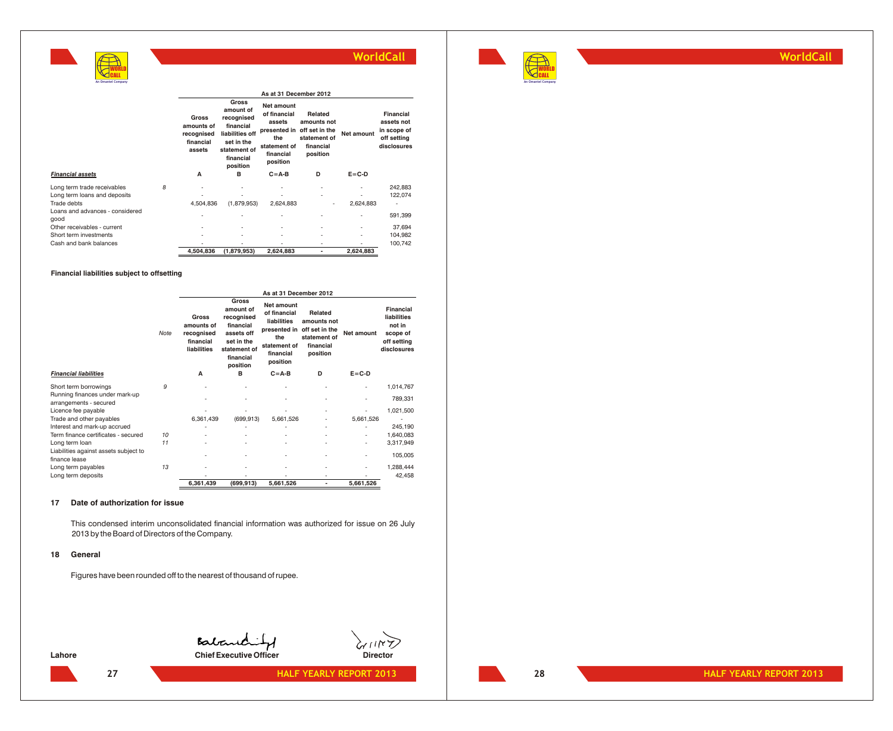

**WorldCall**

|                                         |   |                                                          |                                                                                                                         | As at 31 December 2012                                                                               |                                                                                   |                          |                                                                      |  |
|-----------------------------------------|---|----------------------------------------------------------|-------------------------------------------------------------------------------------------------------------------------|------------------------------------------------------------------------------------------------------|-----------------------------------------------------------------------------------|--------------------------|----------------------------------------------------------------------|--|
|                                         |   | Gross<br>amounts of<br>recognised<br>financial<br>assets | Gross<br>amount of<br>recognised<br>financial<br>liabilities off<br>set in the<br>statement of<br>financial<br>position | Net amount<br>of financial<br>assets<br>presented in<br>the<br>statement of<br>financial<br>position | Related<br>amounts not<br>off set in the<br>statement of<br>financial<br>position | Net amount               | Financial<br>assets not<br>in scope of<br>off setting<br>disclosures |  |
| <b>Financial assets</b>                 |   | A                                                        | в                                                                                                                       | $C = A-B$                                                                                            | D                                                                                 | $E = C - D$              |                                                                      |  |
| Long term trade receivables             | 8 |                                                          |                                                                                                                         |                                                                                                      |                                                                                   |                          | 242.883                                                              |  |
| Long term loans and deposits            |   |                                                          |                                                                                                                         |                                                                                                      |                                                                                   |                          | 122,074                                                              |  |
| Trade debts                             |   | 4,504,836                                                | (1,879,953)                                                                                                             | 2,624,883                                                                                            | ٠                                                                                 | 2,624,883                | ٠                                                                    |  |
| Loans and advances - considered<br>good |   | $\overline{\phantom{a}}$                                 |                                                                                                                         |                                                                                                      |                                                                                   | ٠                        | 591,399                                                              |  |
| Other receivables - current             |   | $\overline{\phantom{a}}$                                 |                                                                                                                         |                                                                                                      | ۰                                                                                 | $\overline{\phantom{a}}$ | 37,694                                                               |  |
| Short term investments                  |   | $\overline{\phantom{a}}$                                 |                                                                                                                         | ٠                                                                                                    | ٠                                                                                 | $\overline{\phantom{a}}$ | 104,982                                                              |  |
| Cash and bank balances                  |   | ٠                                                        |                                                                                                                         |                                                                                                      | ۰                                                                                 | ۰                        | 100,742                                                              |  |
|                                         |   | 4,504,836                                                | (1,879,953)                                                                                                             | 2,624,883                                                                                            | ٠                                                                                 | 2,624,883                |                                                                      |  |

**Financial liabilities subject to offsetting**

**WORLD** CALL **An Omantel Company**

|                                                          |      |                                                               |                                                                                                                           | As at 31 December 2012                                                                           |                                                                                                |                          |                                                                              |
|----------------------------------------------------------|------|---------------------------------------------------------------|---------------------------------------------------------------------------------------------------------------------------|--------------------------------------------------------------------------------------------------|------------------------------------------------------------------------------------------------|--------------------------|------------------------------------------------------------------------------|
|                                                          | Note | Gross<br>amounts of<br>recognised<br>financial<br>liabilities | <b>Gross</b><br>amount of<br>recognised<br>financial<br>assets off<br>set in the<br>statement of<br>financial<br>position | <b>Net amount</b><br>of financial<br>liabilities<br>the<br>statement of<br>financial<br>position | Related<br>amounts not<br>presented in off set in the<br>statement of<br>financial<br>position | Net amount               | Financial<br>liabilities<br>not in<br>scope of<br>off setting<br>disclosures |
| <b>Financial liabilities</b>                             |      | A                                                             | в                                                                                                                         | $C = A - B$                                                                                      | D                                                                                              | $E = C - D$              |                                                                              |
| Short term borrowings                                    | 9    |                                                               | ٠                                                                                                                         | ٠                                                                                                | ٠                                                                                              | ٠                        | 1,014,767                                                                    |
| Running finances under mark-up<br>arrangements - secured |      |                                                               |                                                                                                                           |                                                                                                  | ٠                                                                                              |                          | 789,331                                                                      |
| Licence fee payable                                      |      |                                                               |                                                                                                                           |                                                                                                  | ٠                                                                                              |                          | 1,021,500                                                                    |
| Trade and other payables                                 |      | 6,361,439                                                     | (699, 913)                                                                                                                | 5,661,526                                                                                        | ٠                                                                                              | 5,661,526                |                                                                              |
| Interest and mark-up accrued                             |      |                                                               |                                                                                                                           |                                                                                                  | ٠                                                                                              |                          | 245,190                                                                      |
| Term finance certificates - secured                      | 10   |                                                               |                                                                                                                           | ٠                                                                                                | ٠                                                                                              | ٠                        | 1,640,083                                                                    |
| Long term loan                                           | 11   |                                                               |                                                                                                                           |                                                                                                  | ٠                                                                                              | $\overline{\phantom{0}}$ | 3,317,949                                                                    |
| Liabilities against assets subject to<br>finance lease   |      |                                                               |                                                                                                                           |                                                                                                  | ٠                                                                                              | ۰                        | 105,005                                                                      |
| Long term payables                                       | 13   |                                                               |                                                                                                                           | ٠                                                                                                | ٠                                                                                              | ۰                        | 1,288,444                                                                    |
| Long term deposits                                       |      |                                                               |                                                                                                                           |                                                                                                  | ٠                                                                                              |                          | 42,458                                                                       |
|                                                          |      | 6,361,439                                                     | (699,913)                                                                                                                 | 5,661,526                                                                                        | ٠                                                                                              | 5,661,526                |                                                                              |

#### **17 Date of authorization for issue**

This condensed interim unconsolidated financial information was authorized for issue on 26 July 2013 by the Board of Directors of the Company.

#### **18 General**

Figures have been rounded off to the nearest of thousand of rupee.

**Contention of Chief Executive Officer** Director **Chief Executive Officer**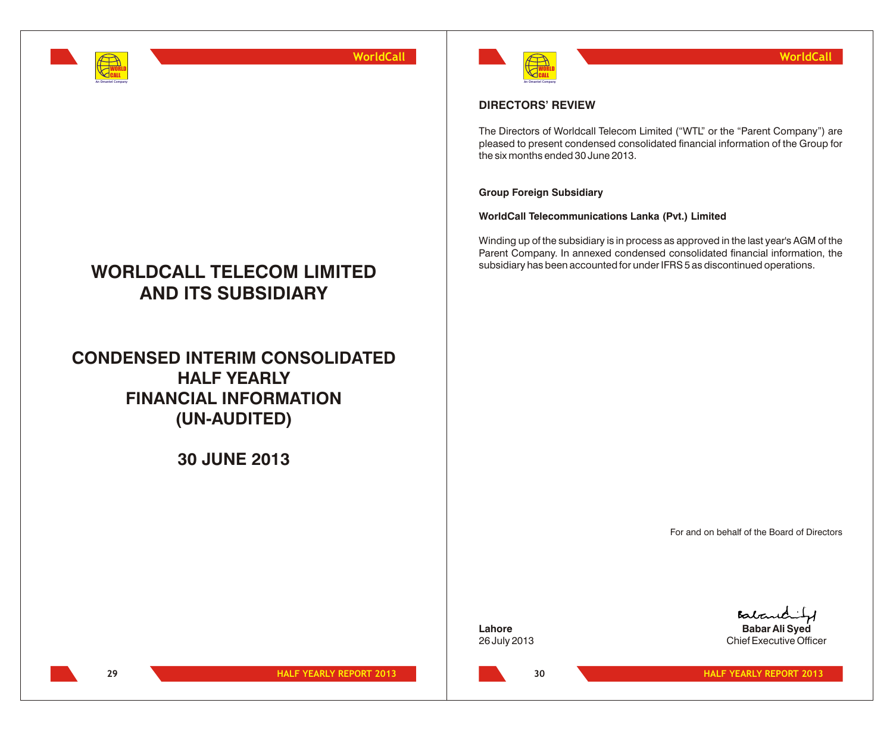

# **WORLDCALL TELECOM LIMITED AND ITS SUBSIDIARY**

**CONDENSED INTERIM CONSOLIDATED HALF YEARLY FINANCIAL INFORMATION (UN-AUDITED)**

**30 JUNE 2013**



## **DIRECTORS' REVIEW**

The Directors of Worldcall Telecom Limited ("WTL" or the "Parent Company") are pleased to present condensed consolidated financial information of the Group for the six months ended 30 June 2013.

### **Group Foreign Subsidiary**

**WorldCall Telecommunications Lanka (Pvt.) Limited**

Winding up of the subsidiary is in process as approved in the last year's AGM of the Parent Company. In annexed condensed consolidated financial information, the subsidiary has been accounted for under IFRS 5 as discontinued operations.

For and on behalf of the Board of Directors

26 July 2013 Chief Executive Officer

Batano **Lahore Babar Ali Syed**

**29**

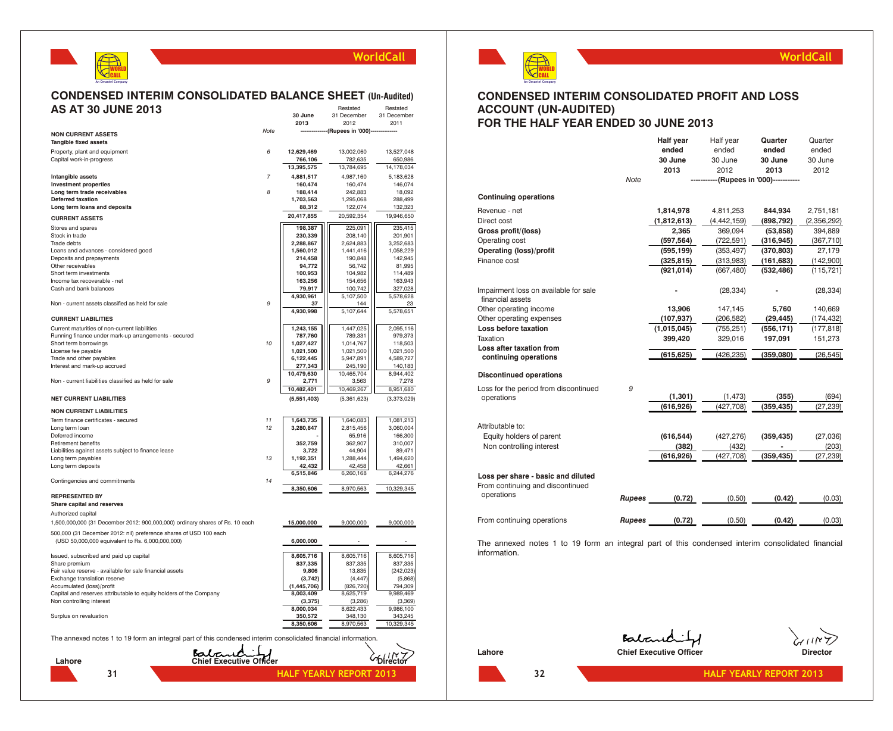

#### **CONDENSED INTERIM CONSOLIDATED BALANCE SHEET (Un-Audited)**<br>AS AT 30 JUNE 2013 **AS AT 30 JUNE 2013** Restated<br>C<sub>1</sub> Desambe

|                                                                                                               |                | 30 June       | 31 December                    | 31 December |
|---------------------------------------------------------------------------------------------------------------|----------------|---------------|--------------------------------|-------------|
|                                                                                                               | Note           | 2013          | 2012<br>-(Rupees in '000)----  | 2011        |
| <b>NON CURRENT ASSETS</b>                                                                                     |                |               |                                |             |
| <b>Tangible fixed assets</b>                                                                                  |                |               |                                |             |
| Property, plant and equipment                                                                                 | 6              | 12,629,469    | 13,002,060                     | 13,527,048  |
| Capital work-in-progress                                                                                      |                | 766,106       | 782,635                        | 650,986     |
|                                                                                                               |                | 13,395,575    | 13,784,695                     | 14,178,034  |
| Intangible assets                                                                                             | $\overline{7}$ | 4,881,517     | 4,987,160                      | 5,183,628   |
| <b>Investment properties</b>                                                                                  |                | 160,474       | 160,474                        | 146,074     |
| Long term trade receivables                                                                                   | 8              | 188,414       | 242,883                        | 18,092      |
| <b>Deferred taxation</b>                                                                                      |                | 1,703,563     | 1,295,068                      | 288,499     |
| Long term loans and deposits                                                                                  |                | 88,312        | 122,074                        | 132,323     |
| <b>CURRENT ASSETS</b>                                                                                         |                | 20,417,855    | 20,592,354                     | 19,946,650  |
| Stores and spares                                                                                             |                | 198,387       | 225,091                        | 235,415     |
| Stock in trade                                                                                                |                | 230,339       | 208,140                        | 201,901     |
| Trade debts                                                                                                   |                | 2,288,867     | 2,624,883                      | 3,252,683   |
| Loans and advances - considered good                                                                          |                | 1,560,012     | 1,441,416                      | 1,058,229   |
| Deposits and prepayments                                                                                      |                | 214,458       | 190,848                        | 142,945     |
| Other receivables                                                                                             |                | 94,772        | 56,742                         | 81,995      |
| Short term investments                                                                                        |                | 100,953       | 104,982                        | 114,489     |
| Income tax recoverable - net                                                                                  |                | 163,256       | 154,656                        | 163,943     |
| Cash and bank balances                                                                                        |                | 79,917        | 100,742                        | 327,028     |
|                                                                                                               |                | 4,930,961     | 5,107,500                      | 5,578,628   |
| Non - current assets classified as held for sale                                                              | 9              | 37            | 144                            | 23          |
|                                                                                                               |                | 4,930,998     | 5,107,644                      | 5,578,651   |
| <b>CURRENT LIABILITIES</b>                                                                                    |                |               |                                |             |
| Current maturities of non-current liabilities                                                                 |                | 1,243,155     | 1,447,025                      | 2,095,116   |
| Running finance under mark-up arrangements - secured                                                          |                | 787,760       | 789,331                        | 979,373     |
| Short term borrowings                                                                                         | 10             | 1,027,427     | 1,014,767                      | 118,503     |
| License fee payable                                                                                           |                | 1,021,500     | 1,021,500                      | 1,021,500   |
| Trade and other payables                                                                                      |                | 6,122,445     | 5,947,891                      | 4,589,727   |
| Interest and mark-up accrued                                                                                  |                | 277,343       | 245,190                        | 140,183     |
|                                                                                                               | 9              | 10,479,630    | 10,465,704                     | 8,944,402   |
| Non - current liabilities classified as held for sale                                                         |                | 2,771         | 3,563                          | 7,278       |
|                                                                                                               |                | 10,482,401    | 10,469,267                     | 8,951,680   |
| <b>NET CURRENT LIABILITIES</b>                                                                                |                | (5,551,403)   | (5,361,623)                    | (3,373,029) |
| <b>NON CURRENT LIABILITIES</b>                                                                                |                |               |                                |             |
| Term finance certificates - secured                                                                           | 11             | 1,643,735     | 1,640,083                      | 1,081,213   |
| Long term loan                                                                                                | 12             | 3,280,847     | 2,815,456                      | 3,060,004   |
| Deferred income                                                                                               |                |               | 65,916                         | 166,300     |
| Retirement benefits                                                                                           |                | 352,759       | 362,907                        | 310,007     |
| Liabilities against assets subject to finance lease                                                           |                | 3,722         | 44,904                         | 89,471      |
| Long term payables                                                                                            | 13             | 1,192,351     | 1,288,444                      | 1,494,620   |
| Long term deposits                                                                                            |                | 42,432        | 42,458                         | 42,661      |
|                                                                                                               |                | 6,515,846     | 6,260,168                      | 6,244,276   |
| Contingencies and commitments                                                                                 | 14             |               |                                |             |
|                                                                                                               |                | 8,350,606     | 8,970,563                      | 10,329,345  |
| <b>REPRESENTED BY</b>                                                                                         |                |               |                                |             |
| Share capital and reserves                                                                                    |                |               |                                |             |
| Authorized capital                                                                                            |                |               |                                |             |
| 1,500,000,000 (31 December 2012: 900,000,000) ordinary shares of Rs. 10 each                                  |                | 15,000,000    | 9,000,000                      | 9,000,000   |
| 500,000 (31 December 2012: nil) preference shares of USD 100 each                                             |                |               |                                |             |
| (USD 50,000,000 equivalent to Rs. 6,000,000,000)                                                              |                | 6,000,000     |                                |             |
|                                                                                                               |                |               |                                |             |
| Issued, subscribed and paid up capital                                                                        |                | 8,605,716     | 8,605,716                      | 8,605,716   |
| Share premium                                                                                                 |                | 837,335       | 837,335                        | 837,335     |
| Fair value reserve - available for sale financial assets                                                      |                | 9,806         | 13,835                         | (242, 023)  |
| Exchange translation reserve                                                                                  |                | (3,742)       | (4, 447)                       | (5,868)     |
| Accumulated (loss)/profit                                                                                     |                | (1, 445, 706) | (826, 720)                     | 794,309     |
| Capital and reserves attributable to equity holders of the Company                                            |                | 8,003,409     | 8,625,719                      | 9,989,469   |
| Non controlling interest                                                                                      |                | (3, 375)      | (3,286)                        | (3,369)     |
|                                                                                                               |                | 8,000,034     | 8,622,433                      | 9,986,100   |
| Surplus on revaluation                                                                                        |                | 350,572       | 348,130                        | 343,245     |
|                                                                                                               |                | 8,350,606     | 8,970,563                      | 10,329,345  |
| The annexed notes 1 to 19 form an integral part of this condensed interim consolidated financial information. |                |               |                                |             |
|                                                                                                               |                |               |                                |             |
|                                                                                                               | Babauchilf     |               |                                |             |
| Lahore                                                                                                        |                |               |                                |             |
|                                                                                                               |                |               |                                |             |
| 31                                                                                                            |                |               | <b>HALF YEARLY REPORT 2013</b> |             |
|                                                                                                               |                |               |                                |             |



## **CONDENSED INTERIM CONSOLIDATED PROFIT AND LOSS ACCOUNT (UN-AUDITED) FOR THE HALF YEAR ENDED 30 JUNE 2013**

|                                                                        |               | <b>Half year</b> | Half year     | Quarter                      | Quarter     |
|------------------------------------------------------------------------|---------------|------------------|---------------|------------------------------|-------------|
|                                                                        |               | ended            | ended         | ended                        | ended       |
|                                                                        |               | 30 June          | 30 June       | 30 June                      | 30 June     |
|                                                                        |               | 2013             | 2012          | 2013                         | 2012        |
|                                                                        | <b>Note</b>   |                  |               | -(Rupees in '000)----------- |             |
| <b>Continuing operations</b>                                           |               |                  |               |                              |             |
| Revenue - net                                                          |               | 1,814,978        | 4,811,253     | 844,934                      | 2,751,181   |
| Direct cost                                                            |               | (1,812,613)      | (4, 442, 159) | (898, 792)                   | (2,356,292) |
| Gross profit/(loss)                                                    |               | 2,365            | 369,094       | (53, 858)                    | 394,889     |
| Operating cost                                                         |               | (597, 564)       | (722, 591)    | (316, 945)                   | (367, 710)  |
| <b>Operating (loss)/profit</b>                                         |               | (595, 199)       | (353, 497)    | (370, 803)                   | 27,179      |
| Finance cost                                                           |               | (325, 815)       | (313,983)     | (161, 683)                   | (142,900)   |
|                                                                        |               | (921, 014)       | (667, 480)    | (532, 486)                   | (115, 721)  |
| Impairment loss on available for sale<br>financial assets              |               |                  | (28, 334)     |                              | (28, 334)   |
| Other operating income                                                 |               | 13,906           | 147,145       | 5,760                        | 140,669     |
| Other operating expenses                                               |               | (107, 937)       | (206, 582)    | (29, 445)                    | (174, 432)  |
| Loss before taxation                                                   |               | (1,015,045)      | (755, 251)    | (556, 171)                   | (177, 818)  |
| Taxation                                                               |               | 399,420          | 329,016       | 197,091                      | 151,273     |
| Loss after taxation from                                               |               |                  |               |                              |             |
| continuing operations                                                  |               | (615, 625)       | (426,235)     | (359,080)                    | (26, 545)   |
| <b>Discontinued operations</b>                                         |               |                  |               |                              |             |
| Loss for the period from discontinued                                  | 9             |                  |               |                              |             |
| operations                                                             |               | (1, 301)         | (1, 473)      | (355)                        | (694)       |
|                                                                        |               | (616, 926)       | (427, 708)    | (359, 435)                   | (27, 239)   |
| Attributable to:                                                       |               |                  |               |                              |             |
| Equity holders of parent                                               |               | (616, 544)       | (427, 276)    | (359, 435)                   | (27, 036)   |
| Non controlling interest                                               |               | (382)            | (432)         |                              | (203)       |
|                                                                        |               | (616, 926)       | (427, 708)    | (359, 435)                   | (27, 239)   |
| Loss per share - basic and diluted<br>From continuing and discontinued |               |                  |               |                              |             |
| operations                                                             | <b>Rupees</b> | (0.72)           | (0.50)        | (0.42)                       | (0.03)      |
| From continuing operations                                             | <b>Rupees</b> | (0.72)           | (0.50)        | (0.42)                       | (0.03)      |
|                                                                        |               |                  |               |                              |             |

The annexed notes 1 to 19 form an integral part of this condensed interim consolidated financial information.



Batanchil

**HALF YEARLY REPORT 2013** 

**Lahore Chief Executive Officer Chief Executive Officer Director** 

**WorldCall**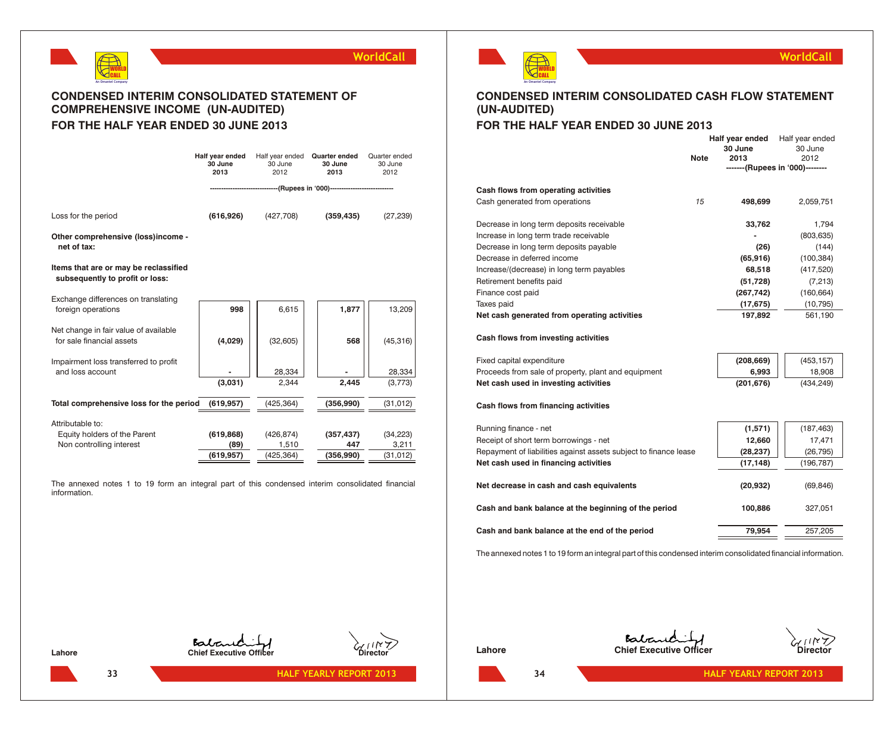

# **CONDENSED INTERIM CONSOLIDATED STATEMENT OF COMPREHENSIVE INCOME (UN-AUDITED) FOR THE HALF YEAR ENDED 30 JUNE 2013**

|                                                                          | Half year ended<br>30 June<br>2013 | Half year ended<br>30 June<br>2012 | Quarter ended<br>30 June<br>2013                          | Quarter ended<br>30 June<br>2012 |
|--------------------------------------------------------------------------|------------------------------------|------------------------------------|-----------------------------------------------------------|----------------------------------|
|                                                                          |                                    |                                    | ------------(Rupees in '000)----------------------------- |                                  |
| Loss for the period                                                      | (616, 926)                         | (427,708)                          | (359, 435)                                                | (27, 239)                        |
| Other comprehensive (loss)income -<br>net of tax:                        |                                    |                                    |                                                           |                                  |
| Items that are or may be reclassified<br>subsequently to profit or loss: |                                    |                                    |                                                           |                                  |
| Exchange differences on translating<br>foreign operations                | 998                                | 6,615                              | 1,877                                                     | 13,209                           |
| Net change in fair value of available<br>for sale financial assets       | (4,029)                            | (32, 605)                          | 568                                                       | (45, 316)                        |
| Impairment loss transferred to profit<br>and loss account                | (3,031)                            | 28,334<br>2,344                    | 2,445                                                     | 28,334<br>(3,773)                |
| Total comprehensive loss for the period                                  | (619, 957)                         | (425, 364)                         | (356,990)                                                 | (31, 012)                        |
| Attributable to:                                                         |                                    |                                    |                                                           |                                  |
| Equity holders of the Parent<br>Non controlling interest                 | (619, 868)<br>(89)                 | (426, 874)<br>1,510                | (357, 437)<br>447                                         | (34, 223)<br>3,211               |
|                                                                          | (619,957)                          | (425, 364)                         | (356,990)                                                 | (31, 012)                        |

The annexed notes 1 to 19 form an integral part of this condensed interim consolidated financial information.



# **CONDENSED INTERIM CONSOLIDATED CASH FLOW STATEMENT (UN-AUDITED)**

# **FOR THE HALF YEAR ENDED 30 JUNE 2013**

|                                                                  | <b>Note</b> | 30 June<br>2013                 | 30 June<br>2012 |
|------------------------------------------------------------------|-------------|---------------------------------|-----------------|
|                                                                  |             | -------(Rupees in '000)-------- |                 |
|                                                                  |             |                                 |                 |
| Cash flows from operating activities                             |             |                                 |                 |
| Cash generated from operations                                   | 15          | 498,699                         | 2,059,751       |
| Decrease in long term deposits receivable                        |             | 33,762                          | 1,794           |
| Increase in long term trade receivable                           |             |                                 | (803, 635)      |
| Decrease in long term deposits payable                           |             | (26)                            | (144)           |
| Decrease in deferred income                                      |             | (65, 916)                       | (100, 384)      |
| Increase/(decrease) in long term payables                        |             | 68,518                          | (417, 520)      |
| Retirement benefits paid                                         |             | (51, 728)                       | (7, 213)        |
| Finance cost paid                                                |             | (267, 742)                      | (160, 664)      |
| Taxes paid                                                       |             | (17, 675)                       | (10, 795)       |
| Net cash generated from operating activities                     |             | 197,892                         | 561,190         |
|                                                                  |             |                                 |                 |
| Cash flows from investing activities                             |             |                                 |                 |
| Fixed capital expenditure                                        |             | (208, 669)                      | (453, 157)      |
| Proceeds from sale of property, plant and equipment              |             | 6,993                           | 18,908          |
| Net cash used in investing activities                            |             | (201, 676)                      | (434, 249)      |
| Cash flows from financing activities                             |             |                                 |                 |
|                                                                  |             |                                 |                 |
| Running finance - net                                            |             | (1,571)                         | (187, 463)      |
| Receipt of short term borrowings - net                           |             | 12,660                          | 17,471          |
| Repayment of liabilities against assets subject to finance lease |             | (28, 237)                       | (26, 795)       |
| Net cash used in financing activities                            |             | (17, 148)                       | (196, 787)      |
| Net decrease in cash and cash equivalents                        |             | (20, 932)                       | (69, 846)       |
| Cash and bank balance at the beginning of the period             |             | 100,886                         | 327,051         |
| Cash and bank balance at the end of the period                   |             | 79,954                          | 257,205         |
|                                                                  |             |                                 |                 |

The annexed notes 1 to 19 form an integral part of this condensed interim consolidated financial information.

**33**

**Lahore Chief Executive Officer Director**



**HALF YEARLY REPORT 2013**







**HALF YEARLY REPORT 2013** 

**WorldCall**

**Half year ended** Half year ended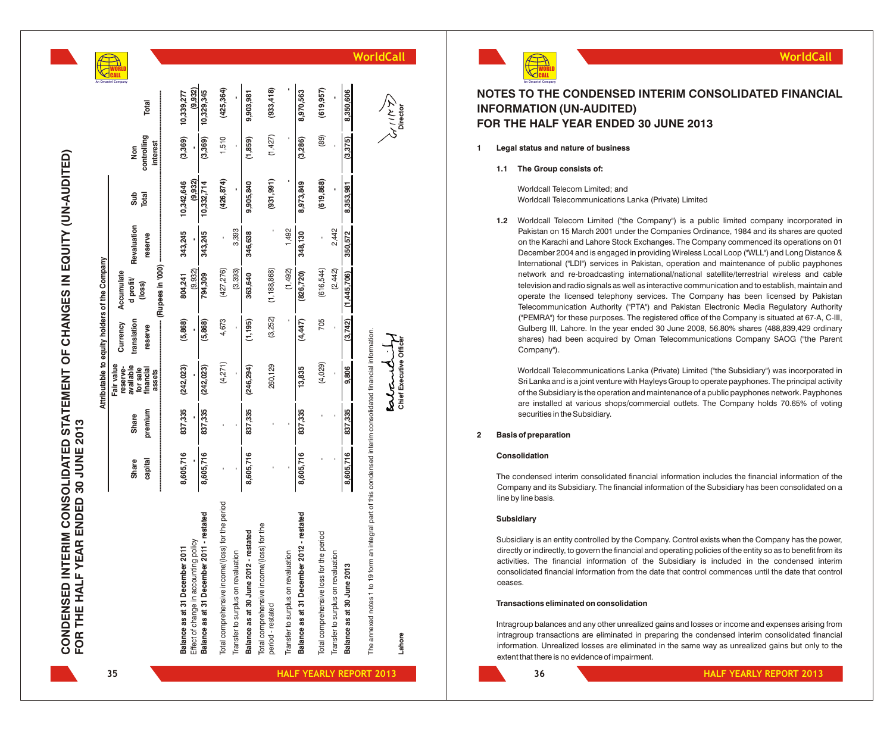| CONDENSED INTERIM CONSOLIDATED STATEMENT OF CHANGES IN EQUITY (UN-AUDIT |                                      |
|-------------------------------------------------------------------------|--------------------------------------|
|                                                                         | FOR THE HALF YEAR ENDED 30 JUNE 2013 |

**ED)**

|                                               | <b>TORI</b>                         |                                 |                                |                                                                                    |                                                  |                                    |                                       |                                                                |                                    |                                           |                                         |                                                    |                            |                                                                                                                  |                                   |
|-----------------------------------------------|-------------------------------------|---------------------------------|--------------------------------|------------------------------------------------------------------------------------|--------------------------------------------------|------------------------------------|---------------------------------------|----------------------------------------------------------------|------------------------------------|-------------------------------------------|-----------------------------------------|----------------------------------------------------|----------------------------|------------------------------------------------------------------------------------------------------------------|-----------------------------------|
|                                               |                                     | Total                           | 10,339,277                     | (9.932)<br>10,329,345                                                              | (425, 364)                                       |                                    | 9,903,981                             | (933, 418)                                                     |                                    | 8,970,563                                 | (619, 957)                              |                                                    | 8,350,606                  |                                                                                                                  | ダミス<br>Director                   |
|                                               | Non                                 | controlling<br>interest         | (3,369)                        | (3,369)                                                                            | 1,510                                            |                                    | (1,859)                               | (1, 427)                                                       |                                    | (3,286)                                   | (89)                                    |                                                    | (3,375)                    |                                                                                                                  |                                   |
|                                               | Sub                                 | Total                           | 10,342,646                     | (9.932)<br>10,332,714                                                              | (426, 874)                                       |                                    | 9,905,840                             | (931, 991)                                                     |                                    | 8,973,849                                 | (619, 868)                              |                                                    | 8,353,981                  |                                                                                                                  |                                   |
|                                               | Revaluation                         | reserve                         | 343,245                        | 343,245                                                                            |                                                  | 3,393                              | 346,638                               |                                                                | 1,492                              | 348,130                                   |                                         | 2,442                                              | 350,572                    |                                                                                                                  |                                   |
| Attributable to equity holders of the Company | Accumulate<br>d profit/             | (loss)                          | 804,241                        | (9.932)<br>794,309                                                                 | (427, 276)                                       | (3, 393)                           | 363,640                               | (1, 188, 868)                                                  | (1,492)                            | (826, 720)                                | (616,544)                               | (2, 442)                                           | (1,445,706)                |                                                                                                                  |                                   |
|                                               | translation<br>Currency             | reserve                         | (5,868)                        | (5,868)                                                                            | 4,673                                            |                                    | (1, 195)                              | (3,252)                                                        |                                    | (4,447)                                   | 705                                     |                                                    | (3,742)                    |                                                                                                                  |                                   |
|                                               | Fair value<br>available<br>reserve- | for sale<br>financial<br>assets | (242, 023)                     | (242, 023)                                                                         | (4, 271)                                         |                                    | (246, 294)                            | 260,129                                                        |                                    | 13,835                                    | (4,029)                                 |                                                    | 9,806                      |                                                                                                                  | Chief Executive Officer<br>estant |
|                                               | <b>Share</b>                        | premium                         | 837,335                        | 837,335                                                                            |                                                  |                                    | 837,335                               |                                                                |                                    | 837,335                                   |                                         |                                                    | 837,335                    |                                                                                                                  |                                   |
|                                               | <b>Share</b>                        | capital                         | 8,605,716<br>-----------       | 8,605,716                                                                          |                                                  |                                    | 8,605,716                             |                                                                |                                    | 8,605,716                                 |                                         |                                                    | 8,605,716                  |                                                                                                                  |                                   |
|                                               |                                     |                                 | Balance as at 31 December 2011 | Balance as at 31 December 2011 - restated<br>Effect of change in accounting policy | Total comprehensive income/(loss) for the period | Transfer to surplus on revaluation | Balance as at 30 June 2012 - restated | Total comprehensive income/(loss) for the<br>period - restated | Transfer to surplus on revaluation | Balance as at 31 December 2012 - restated | Total comprehensive loss for the period | $\overline{5}$<br>Transfer to surplus on revaluati | Balance as at 30 June 2013 | an integral part of this condensed interim consolidated financial information.<br>The annexed notes 1 to 19 form | Lahore                            |



## **NOTES TO THE CONDENSED INTERIM CONSOLIDATED FINANCIAL INFORMATION (UN-AUDITED) FOR THE HALF YEAR ENDED 30 JUNE 2013**

**1 Legal status and nature of business**

**1.1 The Group consists of:**

Worldcall Telecom Limited; and Worldcall Telecommunications Lanka (Private) Limited

**1.2** Worldcall Telecom Limited ("the Company") is a public limited company incorporated in Pakistan on 15 March 2001 under the Companies Ordinance, 1984 and its shares are quoted on the Karachi and Lahore Stock Exchanges. The Company commenced its operations on 01 December 2004 and is engaged in providing Wireless Local Loop ("WLL") and Long Distance & International ("LDI") services in Pakistan, operation and maintenance of public payphones network and re-broadcasting international/national satellite/terrestrial wireless and cable television and radio signals as well as interactive communication and to establish, maintain and operate the licensed telephony services. The Company has been licensed by Pakistan Telecommunication Authority ("PTA") and Pakistan Electronic Media Regulatory Authority ("PEMRA") for these purposes. The registered office of the Company is situated at 67-A, C-III, Gulberg III, Lahore. In the year ended 30 June 2008, 56.80% shares (488,839,429 ordinary shares) had been acquired by Oman Telecommunications Company SAOG ("the Parent Company").

Worldcall Telecommunications Lanka (Private) Limited ("the Subsidiary") was incorporated in Sri Lanka and is a joint venture with Hayleys Group to operate payphones. The principal activity of the Subsidiary is the operation and maintenance of a public payphones network. Payphones are installed at various shops/commercial outlets. The Company holds 70.65% of voting securities in the Subsidiary.

#### **2 Basis of preparation**

#### **Consolidation**

The condensed interim consolidated financial information includes the financial information of the Company and its Subsidiary. The financial information of the Subsidiary has been consolidated on a line by line basis.

#### **Subsidiary**

Subsidiary is an entity controlled by the Company. Control exists when the Company has the power, directly or indirectly, to govern the financial and operating policies of the entity so as to benefit from its activities. The financial information of the Subsidiary is included in the condensed interim consolidated financial information from the date that control commences until the date that control ceases.

#### **Transactions eliminated on consolidation**

Intragroup balances and any other unrealized gains and losses or income and expenses arising from intragroup transactions are eliminated in preparing the condensed interim consolidated financial information. Unrealized losses are eliminated in the same way as unrealized gains but only to the extent that there is no evidence of impairment.

**35**

**HALF YEARLY REPORT 2013**

**HALF YEARLY REPORT 2013** 

**WorldCall**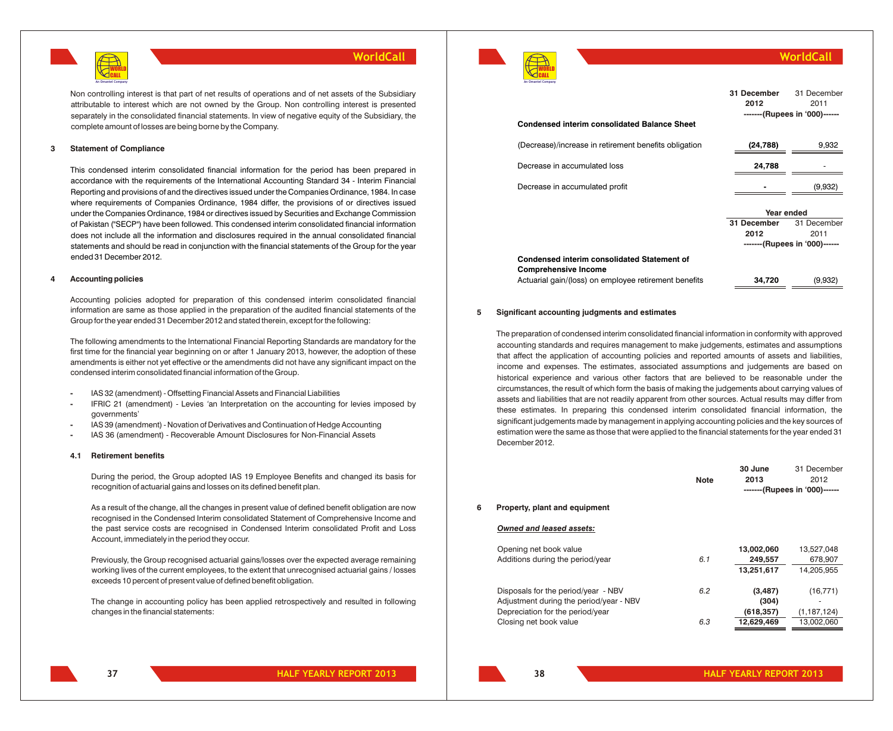

Non controlling interest is that part of net results of operations and of net assets of the Subsidiary attributable to interest which are not owned by the Group. Non controlling interest is presented separately in the consolidated financial statements. In view of negative equity of the Subsidiary, the complete amount of losses are being borne by the Company.

#### **3 Statement of Compliance**

This condensed interim consolidated financial information for the period has been prepared in accordance with the requirements of the International Accounting Standard 34 - Interim Financial Reporting and provisions of and the directives issued under the Companies Ordinance, 1984. In case where requirements of Companies Ordinance, 1984 differ, the provisions of or directives issued under the Companies Ordinance, 1984 or directives issued by Securities and Exchange Commission of Pakistan ("SECP") have been followed. This condensed interim consolidated financial information does not include all the information and disclosures required in the annual consolidated financial statements and should be read in conjunction with the financial statements of the Group for the year ended 31 December 2012.

#### **4 Accounting policies**

Accounting policies adopted for preparation of this condensed interim consolidated financial information are same as those applied in the preparation of the audited financial statements of the Group for the year ended 31 December 2012 and stated therein, except for the following:

The following amendments to the International Financial Reporting Standards are mandatory for the first time for the financial year beginning on or after 1 January 2013, however, the adoption of these amendments is either not yet effective or the amendments did not have any significant impact on the condensed interim consolidated financial information of the Group.

- **-** IAS 32 (amendment) Offsetting Financial Assets and Financial Liabilities
- **-** IFRIC 21 (amendment) Levies *'*an Interpretation on the accounting for levies imposed by governments'
- **-** IAS 39 (amendment) Novation of Derivatives and Continuation of Hedge Accounting
- **-** IAS 36 (amendment) Recoverable Amount Disclosures for Non-Financial Assets

#### **4.1 Retirement benefits**

During the period, the Group adopted IAS 19 Employee Benefits and changed its basis for recognition of actuarial gains and losses on its defined benefit plan.

As a result of the change, all the changes in present value of defined benefit obligation are now recognised in the Condensed Interim consolidated Statement of Comprehensive Income and the past service costs are recognised in Condensed Interim consolidated Profit and Loss Account, immediately in the period they occur.

Previously, the Group recognised actuarial gains/losses over the expected average remaining working lives of the current employees, to the extent that unrecognised actuarial gains / losses exceeds 10 percent of present value of defined benefit obligation.

The change in accounting policy has been applied retrospectively and resulted in following changes in the financial statements:

**An Omantel Company**

### **WorldCall**

| <b>Condensed interim consolidated Balance Sheet</b>   | 31 December<br>2012 | 31 December<br>2011<br>-------(Rupees in '000)------ |
|-------------------------------------------------------|---------------------|------------------------------------------------------|
|                                                       |                     |                                                      |
| (Decrease)/increase in retirement benefits obligation | (24, 788)           | 9,932                                                |
| Decrease in accumulated loss                          | 24,788              |                                                      |
| Decrease in accumulated profit                        |                     | (9,932)                                              |
|                                                       | Year ended          |                                                      |
|                                                       | 31 December         | 31 December                                          |
|                                                       | 2012                | 2011                                                 |
|                                                       |                     | -------(Rupees in '000)------                        |
| Condensed interim consolidated Statement of           |                     |                                                      |
| <b>Comprehensive Income</b>                           |                     |                                                      |
| Actuarial gain/(loss) on employee retirement benefits | 34,720              | (9,932)                                              |

#### **5 Significant accounting judgments and estimates**

The preparation of condensed interim consolidated financial information in conformity with approved accounting standards and requires management to make judgements, estimates and assumptions that affect the application of accounting policies and reported amounts of assets and liabilities, income and expenses. The estimates, associated assumptions and judgements are based on historical experience and various other factors that are believed to be reasonable under the circumstances, the result of which form the basis of making the judgements about carrying values of assets and liabilities that are not readily apparent from other sources. Actual results may differ from these estimates. In preparing this condensed interim consolidated financial information, the significant judgements made by management in applying accounting policies and the key sources of estimation were the same as those that were applied to the financial statements for the year ended 31 December 2012.

|   |                                         | <b>Note</b> | <b>SU JUILE</b><br>2013 | эт ресепрет<br>2012<br>-------(Rupees in '000)------ |
|---|-----------------------------------------|-------------|-------------------------|------------------------------------------------------|
| 6 | Property, plant and equipment           |             |                         |                                                      |
|   | <b>Owned and leased assets:</b>         |             |                         |                                                      |
|   | Opening net book value                  |             | 13,002,060              | 13,527,048                                           |
|   | Additions during the period/year        | 6.1         | 249.557                 | 678,907                                              |
|   |                                         |             | 13,251,617              | 14.205.955                                           |
|   | Disposals for the period/year - NBV     | 6.2         | (3, 487)                | (16, 771)                                            |
|   | Adjustment during the period/year - NBV |             | (304)                   | ٠                                                    |
|   | Depreciation for the period/year        |             | (618, 357)              | (1, 187, 124)                                        |
|   | Closing net book value                  | 6.3         | 12,629,469              | 13.002.060                                           |
|   |                                         |             |                         |                                                      |

**37**

**30 June**

31 December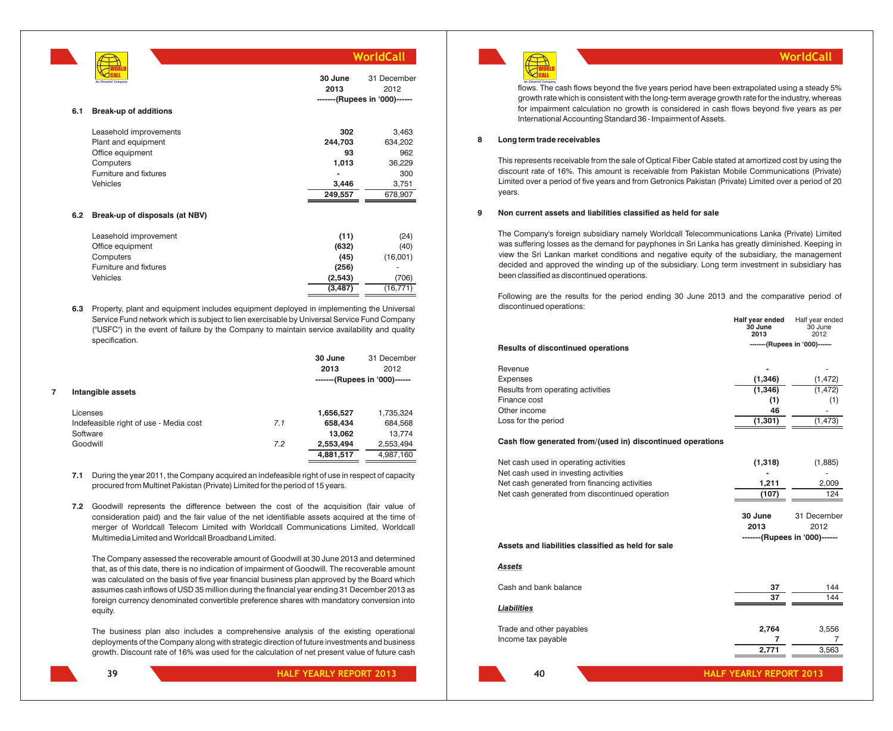**6.1 Break-up of additions** Leasehold improvements **302** 3,463 Plant and equipment **244,703** 634,202 Office equipment **93** 962 Computers **1,013** 36,229 Furniture and fixtures **-** 300 Vehicles **3,446** 3,751 **249,557** 678,907 **6.2 Break-up of disposals (at NBV) 30 June 2013** 31 December 2012 **-------(Rupees in '000)------** CALL **An Omantel Company**

**WORLD** 

| Leasehold improvement  | (11)     | (24)      |
|------------------------|----------|-----------|
| Office equipment       | (632)    | (40)      |
| Computers              | (45)     | (16,001)  |
| Furniture and fixtures | (256)    |           |
| <b>Vehicles</b>        | (2,543)  | (706)     |
|                        | (3, 487) | (16, 771) |
|                        |          |           |

**6.3** Property, plant and equipment includes equipment deployed in implementing the Universal Service Fund network which is subject to lien exercisable by Universal Service Fund Company ("USFC") in the event of failure by the Company to maintain service availability and quality specification.

|   |                                        |     | 30 June   | 31 December                   |
|---|----------------------------------------|-----|-----------|-------------------------------|
|   |                                        |     | 2013      | 2012                          |
|   |                                        |     |           | -------(Rupees in '000)------ |
| 7 | Intangible assets                      |     |           |                               |
|   | Licenses                               |     | 1,656,527 | 1,735,324                     |
|   | Indefeasible right of use - Media cost | 7.1 | 658,434   | 684,568                       |
|   | Software                               |     | 13,062    | 13.774                        |
|   | Goodwill                               | 7.2 | 2,553,494 | 2,553,494                     |
|   |                                        |     | 4,881,517 | 4,987,160                     |
|   |                                        |     |           |                               |

- **7.1** During the year 2011, the Company acquired an indefeasible right of use in respect of capacity procured from Multinet Pakistan (Private) Limited for the period of 15 years.
- **7.2** Goodwill represents the difference between the cost of the acquisition (fair value of consideration paid) and the fair value of the net identifiable assets acquired at the time of merger of Worldcall Telecom Limited with Worldcall Communications Limited, Worldcall Multimedia Limited and Worldcall Broadband Limited.

The Company assessed the recoverable amount of Goodwill at 30 June 2013 and determined that, as of this date, there is no indication of impairment of Goodwill. The recoverable amount was calculated on the basis of five year financial business plan approved by the Board which assumes cash inflows of USD 35 million during the financial year ending 31 December 2013 as foreign currency denominated convertible preference shares with mandatory conversion into equity.

The business plan also includes a comprehensive analysis of the existing operational deployments of the Company along with strategic direction of future investments and business growth. Discount rate of 16% was used for the calculation of net present value of future cash



flows. The cash flows beyond the five years period have been extrapolated using a steady 5% **An Omantel Company** growth rate which is consistent with the long-term average growth rate for the industry, whereas for impairment calculation no growth is considered in cash flows beyond five years as per International Accounting Standard 36 - Impairment of Assets.

**WorldCall**

#### **8 Long term trade receivables**

This represents receivable from the sale of Optical Fiber Cable stated at amortized cost by using the discount rate of 16%. This amount is receivable from Pakistan Mobile Communications (Private) Limited over a period of five years and from Getronics Pakistan (Private) Limited over a period of 20 years.

#### **9 Non current assets and liabilities classified as held for sale**

The Company's foreign subsidiary namely Worldcall Telecommunications Lanka (Private) Limited was suffering losses as the demand for payphones in Sri Lanka has greatly diminished. Keeping in view the Sri Lankan market conditions and negative equity of the subsidiary, the management decided and approved the winding up of the subsidiary. Long term investment in subsidiary has been classified as discontinued operations.

Following are the results for the period ending 30 June 2013 and the comparative period of discontinued operations:

|                                                            | Half year ended<br>30 June<br>2013 | Half year ended<br>30 June<br>2012 |
|------------------------------------------------------------|------------------------------------|------------------------------------|
| <b>Results of discontinued operations</b>                  |                                    | -------(Rupees in '000)------      |
| Revenue                                                    |                                    |                                    |
| Expenses                                                   | (1, 346)                           | (1, 472)                           |
| Results from operating activities                          | (1, 346)                           | (1, 472)                           |
| Finance cost                                               | (1)                                | (1)                                |
| Other income                                               | 46                                 |                                    |
| Loss for the period                                        | (1, 301)                           | (1, 473)                           |
| Cash flow generated from/(used in) discontinued operations |                                    |                                    |
| Net cash used in operating activities                      | (1,318)                            | (1,885)                            |
| Net cash used in investing activities                      |                                    |                                    |
| Net cash generated from financing activities               | 1,211                              | 2,009                              |
| Net cash generated from discontinued operation             | (107)                              | 124                                |
|                                                            | 30 June                            | 31 December                        |
|                                                            | 2013                               | 2012                               |
|                                                            |                                    | -------(Rupees in '000)------      |
| Assets and liabilities classified as held for sale         |                                    |                                    |
| Assets                                                     |                                    |                                    |
| Cash and bank balance                                      | 37                                 | 144                                |
|                                                            | 37                                 | 144                                |
| Liabilities                                                |                                    |                                    |
| Trade and other payables                                   | 2,764                              | 3,556                              |
| Income tax payable                                         | 7                                  | 7                                  |
|                                                            | 2,771                              | 3,563                              |
| 40                                                         | <b>HALF YEARLY REPORT 2013</b>     |                                    |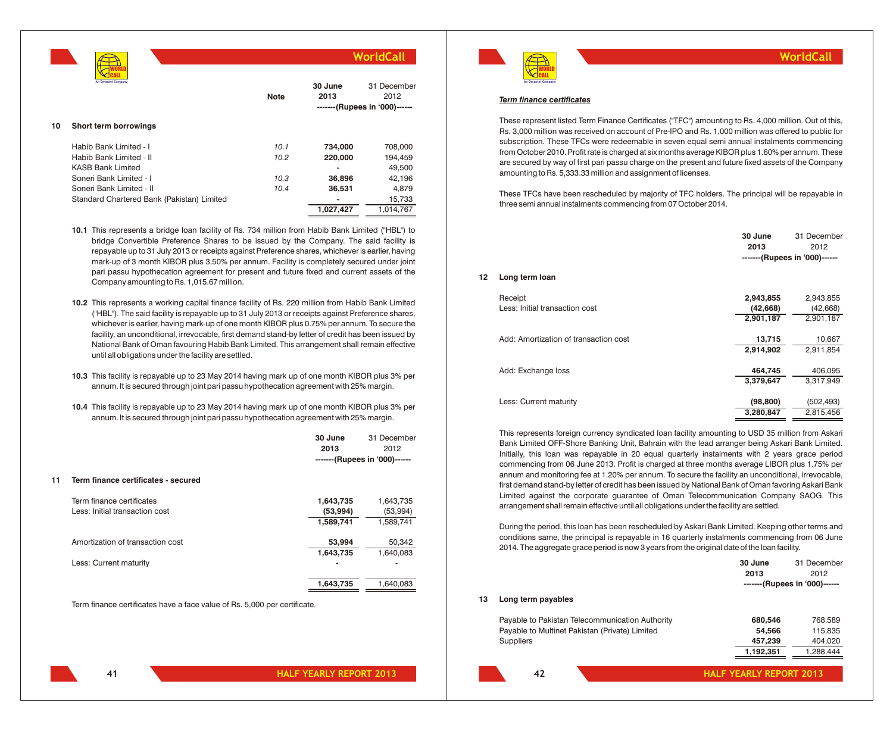

|    | An Omantel Company                         | <b>Note</b> | 30 June<br>2013 | 31 December<br>2012<br>-------(Rupees in '000)------ |
|----|--------------------------------------------|-------------|-----------------|------------------------------------------------------|
| 10 | Short term borrowings                      |             |                 |                                                      |
|    | Habib Bank Limited - I                     | 10.1        | 734.000         | 708.000                                              |
|    | Habib Bank Limited - II                    | 10.2        | 220,000         | 194,459                                              |
|    | <b>KASB Bank Limited</b>                   |             |                 | 49.500                                               |
|    | Soneri Bank Limited - I                    | 10.3        | 36,896          | 42.196                                               |
|    | Soneri Bank Limited - II                   | 10.4        | 36.531          | 4.879                                                |
|    | Standard Chartered Bank (Pakistan) Limited |             | -               | 15,733                                               |
|    |                                            |             | 1,027,427       | 1,014,767                                            |
|    |                                            |             |                 |                                                      |

- **10.1** This represents a bridge loan facility of Rs. 734 million from Habib Bank Limited ("HBL") to bridge Convertible Preference Shares to be issued by the Company. The said facility is repayable up to 31 July 2013 or receipts against Preference shares, whichever is earlier, having mark-up of 3 month KIBOR plus 3.50% per annum. Facility is completely secured under joint pari passu hypothecation agreement for present and future fixed and current assets of the Company amounting to Rs. 1,015.67 million.
- **10.2** This represents a working capital finance facility of Rs. 220 million from Habib Bank Limited ("HBL"). The said facility is repayable up to 31 July 2013 or receipts against Preference shares, whichever is earlier, having mark-up of one month KIBOR plus 0.75% per annum. To secure the facility, an unconditional, irrevocable, first demand stand-by letter of credit has been issued by National Bank of Oman favouring Habib Bank Limited. This arrangement shall remain effective until all obligations under the facility are settled.
- **10.3** This facility is repayable up to 23 May 2014 having mark up of one month KIBOR plus 3% per annum. It is secured through joint pari passu hypothecation agreement with 25% margin.
- **10.4** This facility is repayable up to 23 May 2014 having mark up of one month KIBOR plus 3% per annum. It is secured through joint pari passu hypothecation agreement with 25% margin.

|                  | 30 June | 31 December                   |
|------------------|---------|-------------------------------|
|                  | 2013    | 2012                          |
|                  |         | -------(Rupees in '000)------ |
| icates - secured |         |                               |

#### **11 Term finance certif**

| Term finance certificates<br>Less: Initial transaction cost | 1,643,735<br>(53, 994)<br>1,589,741 | 1,643,735<br>(53,994)<br>1,589,741 |
|-------------------------------------------------------------|-------------------------------------|------------------------------------|
| Amortization of transaction cost                            | 53,994<br>1,643,735                 | 50,342<br>1,640,083                |
| Less: Current maturity                                      |                                     |                                    |
|                                                             | 1,643,735                           | 1,640,083                          |

Term finance certificates have a face value of Rs. 5,000 per certificate.



### **WorldCall**

#### *Term finance certificates*

These represent listed Term Finance Certificates ("TFC") amounting to Rs. 4,000 million. Out of this, Rs. 3,000 million was received on account of Pre-IPO and Rs. 1,000 million was offered to public for subscription. These TFCs were redeemable in seven equal semi annual instalments commencing from October 2010. Profit rate is charged at six months average KIBOR plus 1.60% per annum. These are secured by way of first pari passu charge on the present and future fixed assets of the Company amounting to Rs. 5,333.33 million and assignment of licenses.

These TFCs have been rescheduled by majority of TFC holders. The principal will be repayable in three semi annual instalments commencing from 07 October 2014.

|                                       | 30 June<br>2013 | 31 December<br>2012<br>-------(Rupees in '000)------ |
|---------------------------------------|-----------------|------------------------------------------------------|
| 12<br>Long term loan                  |                 |                                                      |
| Receipt                               | 2,943,855       | 2,943,855                                            |
| Less: Initial transaction cost        | (42, 668)       | (42, 668)                                            |
|                                       | 2,901,187       | 2,901,187                                            |
| Add: Amortization of transaction cost | 13,715          | 10,667                                               |
|                                       | 2,914,902       | 2,911,854                                            |
|                                       |                 |                                                      |
| Add: Exchange loss                    | 464,745         | 406,095                                              |
|                                       | 3,379,647       | 3,317,949                                            |
| Less: Current maturity                | (98, 800)       | (502, 493)                                           |
|                                       | 3,280,847       | 2,815,456                                            |

This represents foreign currency syndicated loan facility amounting to USD 35 million from Askari Bank Limited OFF-Shore Banking Unit, Bahrain with the lead arranger being Askari Bank Limited. Initially, this loan was repayable in 20 equal quarterly instalments with 2 years grace period commencing from 06 June 2013. Profit is charged at three months average LIBOR plus 1.75% per annum and monitoring fee at 1.20% per annum. To secure the facility an unconditional, irrevocable, first demand stand-by letter of credit has been issued by National Bank of Oman favoring Askari Bank Limited against the corporate guarantee of Oman Telecommunication Company SAOG. This arrangement shall remain effective until all obligations under the facility are settled.

During the period, this loan has been rescheduled by Askari Bank Limited. Keeping other terms and conditions same, the principal is repayable in 16 quarterly instalments commencing from 06 June 2014. The aggregate grace period is now 3 years from the original date of the loan facility.

|    |                                                 | 30 June   | 31 December                   |
|----|-------------------------------------------------|-----------|-------------------------------|
|    |                                                 | 2013      | 2012                          |
|    |                                                 |           | -------(Rupees in '000)------ |
| 13 | Long term payables                              |           |                               |
|    | Payable to Pakistan Telecommunication Authority | 680,546   | 768,589                       |
|    | Payable to Multinet Pakistan (Private) Limited  | 54,566    | 115,835                       |
|    | <b>Suppliers</b>                                | 457,239   | 404,020                       |
|    |                                                 | 1,192,351 | 1,288,444                     |
|    |                                                 |           |                               |

**42 HALF YEARLY REPORT 2013**

**41**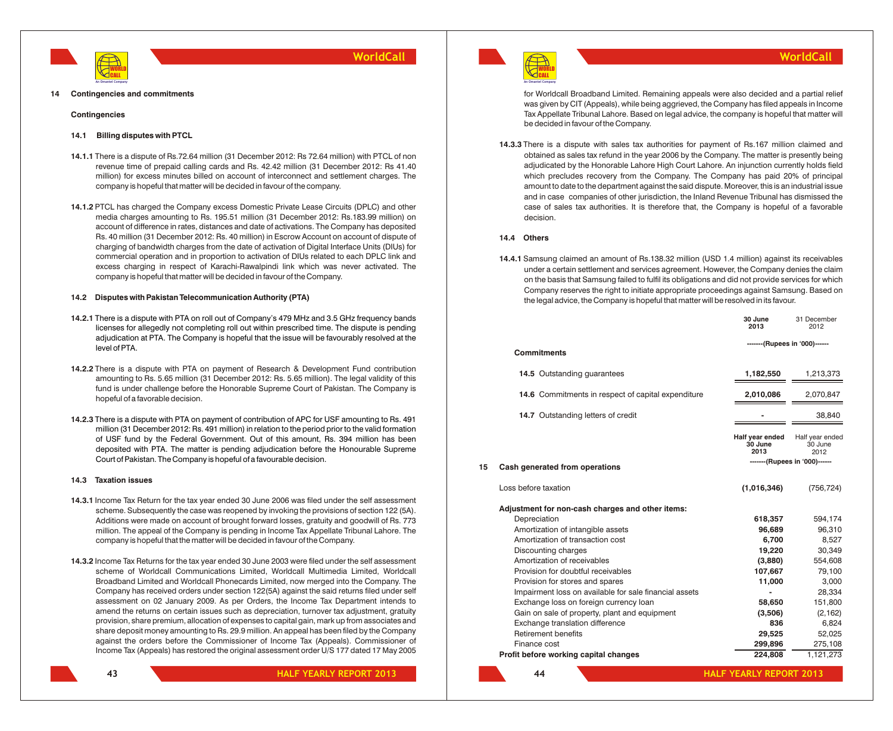

#### **14 Contingencies and commitments**

#### **Contingencies**

#### **14.1 Billing disputes with PTCL**

- **14.1.1** There is a dispute of Rs.72.64 million (31 December 2012: Rs 72.64 million) with PTCL of non revenue time of prepaid calling cards and Rs. 42.42 million (31 December 2012: Rs 41.40 million) for excess minutes billed on account of interconnect and settlement charges. The company is hopeful that matter will be decided in favour of the company.
- **14.1.2** PTCL has charged the Company excess Domestic Private Lease Circuits (DPLC) and other media charges amounting to Rs. 195.51 million (31 December 2012: Rs.183.99 million) on account of difference in rates, distances and date of activations. The Company has deposited Rs. 40 million (31 December 2012: Rs. 40 million) in Escrow Account on account of dispute of charging of bandwidth charges from the date of activation of Digital Interface Units (DIUs) for commercial operation and in proportion to activation of DIUs related to each DPLC link and excess charging in respect of Karachi-Rawalpindi link which was never activated. The company is hopeful that matter will be decided in favour of the Company.

#### **14.2 Disputes with Pakistan Telecommunication Authority (PTA)**

- **14.2.1** There is a dispute with PTA on roll out of Company's 479 MHz and 3.5 GHz frequency bands licenses for allegedly not completing roll out within prescribed time. The dispute is pending adjudication at PTA. The Company is hopeful that the issue will be favourably resolved at the level of PTA.
- **14.2.2** There is a dispute with PTA on payment of Research & Development Fund contribution amounting to Rs. 5.65 million (31 December 2012: Rs. 5.65 million). The legal validity of this fund is under challenge before the Honorable Supreme Court of Pakistan. The Company is hopeful of a favorable decision.
- **14.2.3** There is a dispute with PTA on payment of contribution of APC for USF amounting to Rs. 491 million (31 December 2012: Rs. 491 million) in relation to the period prior to the valid formation of USF fund by the Federal Government. Out of this amount, Rs. 394 million has been deposited with PTA. The matter is pending adjudication before the Honourable Supreme Court of Pakistan. The Company is hopeful of a favourable decision.

#### **14.3 Taxation issues**

- **14.3.1** Income Tax Return for the tax year ended 30 June 2006 was filed under the self assessment scheme. Subsequently the case was reopened by invoking the provisions of section 122 (5A). Additions were made on account of brought forward losses, gratuity and goodwill of Rs. 773 million. The appeal of the Company is pending in Income Tax Appellate Tribunal Lahore. The company is hopeful that the matter will be decided in favour of the Company.
- **14.3.2** Income Tax Returns for the tax year ended 30 June 2003 were filed under the self assessment scheme of Worldcall Communications Limited, Worldcall Multimedia Limited, Worldcall Broadband Limited and Worldcall Phonecards Limited, now merged into the Company. The Company has received orders under section 122(5A) against the said returns filed under self assessment on 02 January 2009. As per Orders, the Income Tax Department intends to amend the returns on certain issues such as depreciation, turnover tax adjustment, gratuity provision, share premium, allocation of expenses to capital gain, mark up from associates and share deposit money amounting to Rs. 29.9 million. An appeal has been filed by the Company against the orders before the Commissioner of Income Tax (Appeals). Commissioner of Income Tax (Appeals) has restored the original assessment order U/S 177 dated 17 May 2005



**HALF YEARLY REPORT 2013**



**An Omantel Company**

for Worldcall Broadband Limited. Remaining appeals were also decided and a partial relief was given by CIT (Appeals), while being aggrieved, the Company has filed appeals in Income Tax Appellate Tribunal Lahore. Based on legal advice, the company is hopeful that matter will be decided in favour of the Company.

**WorldCall**

**14.3.3** There is a dispute with sales tax authorities for payment of Rs.167 million claimed and obtained as sales tax refund in the year 2006 by the Company. The matter is presently being adjudicated by the Honorable Lahore High Court Lahore. An injunction currently holds field which precludes recovery from the Company. The Company has paid 20% of principal amount to date to the department against the said dispute. Moreover, this is an industrial issue and in case companies of other jurisdiction, the Inland Revenue Tribunal has dismissed the case of sales tax authorities. It is therefore that, the Company is hopeful of a favorable decision.

#### **14.4 Others**

**14.4.1** Samsung claimed an amount of Rs.138.32 million (USD 1.4 million) against its receivables under a certain settlement and services agreement. However, the Company denies the claim on the basis that Samsung failed to fulfil its obligations and did not provide services for which Company reserves the right to initiate appropriate proceedings against Samsung. Based on the legal advice, the Company is hopeful that matter will be resolved in its favour.

|    |                                                        | 30 June<br>2013                    | 31 December<br>2012                |
|----|--------------------------------------------------------|------------------------------------|------------------------------------|
|    | <b>Commitments</b>                                     | -------(Rupees in '000)------      |                                    |
|    | 14.5 Outstanding guarantees                            | 1,182,550                          | 1,213,373                          |
|    | 14.6 Commitments in respect of capital expenditure     | 2,010,086                          | 2,070,847                          |
|    | 14.7 Outstanding letters of credit                     |                                    | 38.840                             |
|    |                                                        | Half year ended<br>30 June<br>2013 | Half year ended<br>30 June<br>2012 |
| 15 | Cash generated from operations                         |                                    | -------(Rupees in '000)------      |
|    | Loss before taxation                                   | (1,016,346)                        | (756, 724)                         |
|    | Adjustment for non-cash charges and other items:       |                                    |                                    |
|    | Depreciation                                           | 618,357                            | 594,174                            |
|    | Amortization of intangible assets                      | 96,689                             | 96,310                             |
|    | Amortization of transaction cost                       | 6,700                              | 8,527                              |
|    | Discounting charges                                    | 19,220                             | 30,349                             |
|    | Amortization of receivables                            | (3,880)                            | 554,608                            |
|    | Provision for doubtful receivables                     | 107,667                            | 79,100                             |
|    | Provision for stores and spares                        | 11,000                             | 3,000                              |
|    | Impairment loss on available for sale financial assets |                                    | 28,334                             |
|    | Exchange loss on foreign currency loan                 | 58,650                             | 151,800                            |
|    | Gain on sale of property, plant and equipment          | (3,506)                            | (2, 162)                           |
|    | Exchange translation difference                        | 836                                | 6,824                              |
|    | Retirement benefits                                    | 29,525                             | 52,025                             |
|    | Finance cost                                           | 299,896                            | 275,108                            |
|    | Profit before working capital changes                  | 224,808                            | 1,121,273                          |
|    | 44                                                     | <b>HALF YEARLY REPORT 2013</b>     |                                    |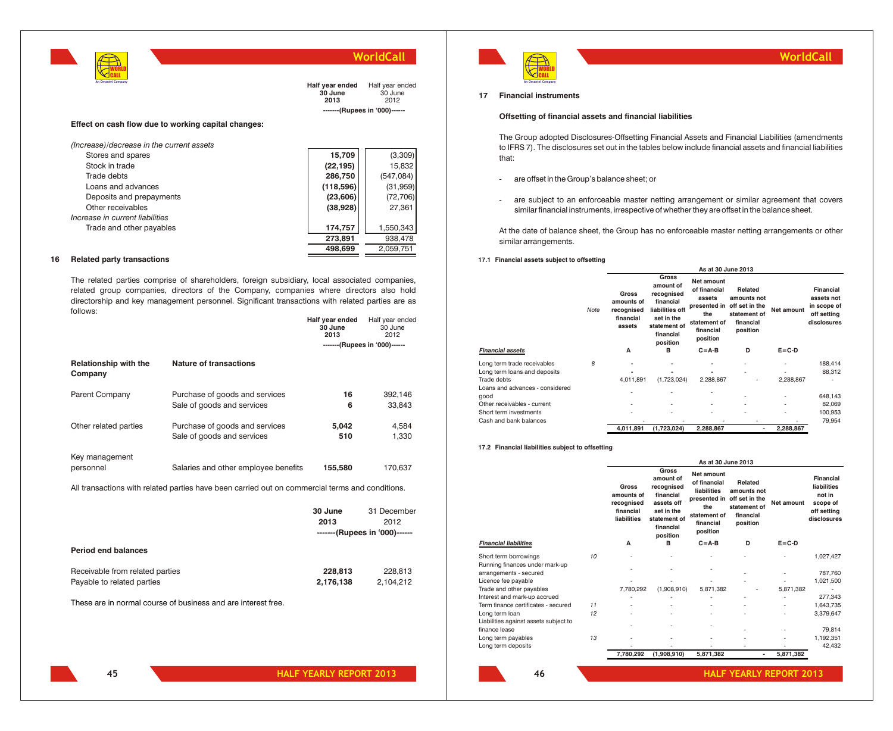

**Half year ended** Half year ended **30 June 2013** 30 June  $2012$ **-------(Rupees in '000)------**

**Half year ended** Half year ended

**Effect on cash flow due to working capital changes:**

| (Increase)/decrease in the current assets |           |            |
|-------------------------------------------|-----------|------------|
| Stores and spares                         | 15,709    | (3,309)    |
| Stock in trade                            | (22, 195) | 15,832     |
| Trade debts                               | 286,750   | (547, 084) |
| Loans and advances                        | (118,596) | (31, 959)  |
| Deposits and prepayments                  | (23, 606) | (72, 706)  |
| Other receivables                         | (38,928)  | 27,361     |
| Increase in current liabilities           |           |            |
| Trade and other payables                  | 174,757   | 1,550,343  |
|                                           | 273,891   | 938,478    |
|                                           | 498,699   | 2,059,751  |
|                                           |           |            |

#### **16 Related party transactions**

The related parties comprise of shareholders, foreign subsidiary, local associated companies, related group companies, directors of the Company, companies where directors also hold directorship and key management personnel. Significant transactions with related parties are as follows:

|                                         |                                                                                                 | 30 June<br>2013 | 30 June<br>2012                                      |
|-----------------------------------------|-------------------------------------------------------------------------------------------------|-----------------|------------------------------------------------------|
|                                         |                                                                                                 |                 | -------(Rupees in '000)------                        |
| <b>Relationship with the</b><br>Company | <b>Nature of transactions</b>                                                                   |                 |                                                      |
| Parent Company                          | Purchase of goods and services<br>Sale of goods and services                                    | 16<br>6         | 392,146<br>33,843                                    |
| Other related parties                   | Purchase of goods and services<br>Sale of goods and services                                    | 5,042<br>510    | 4,584<br>1,330                                       |
| Key management<br>personnel             | Salaries and other employee benefits                                                            | 155,580         | 170,637                                              |
|                                         | All transactions with related parties have been carried out on commercial terms and conditions. |                 |                                                      |
|                                         |                                                                                                 | 30 June<br>2013 | 31 December<br>2012<br>-------(Rupees in '000)------ |
| <b>Period end balances</b>              |                                                                                                 |                 |                                                      |

| Receivable from related parties | 228,813   | 228.813   |
|---------------------------------|-----------|-----------|
| Payable to related parties      | 2.176.138 | 2,104,212 |
|                                 |           |           |

These are in normal course of business and are interest free.



### **WorldCall**

#### **17 Financial instruments**

#### **Offsetting of financial assets and financial liabilities**

The Group adopted Disclosures-Offsetting Financial Assets and Financial Liabilities (amendments to IFRS 7). The disclosures set out in the tables below include financial assets and financial liabilities that:

- are offset in the Group's balance sheet; or
- are subject to an enforceable master netting arrangement or similar agreement that covers similar financial instruments, irrespective of whether they are offset in the balance sheet.

At the date of balance sheet, the Group has no enforceable master netting arrangements or other similar arrangements.

#### **17.1 Financial assets subject to offsetting**

|                                         |      | As at 30 June 2013                                       |                                                                                                                         |                                                                                                      |                                                                                   |             |                                                                             |  |
|-----------------------------------------|------|----------------------------------------------------------|-------------------------------------------------------------------------------------------------------------------------|------------------------------------------------------------------------------------------------------|-----------------------------------------------------------------------------------|-------------|-----------------------------------------------------------------------------|--|
|                                         | Note | Gross<br>amounts of<br>recognised<br>financial<br>assets | Gross<br>amount of<br>recognised<br>financial<br>liabilities off<br>set in the<br>statement of<br>financial<br>position | Net amount<br>of financial<br>assets<br>presented in<br>the<br>statement of<br>financial<br>position | Related<br>amounts not<br>off set in the<br>statement of<br>financial<br>position | Net amount  | <b>Financial</b><br>assets not<br>in scope of<br>off setting<br>disclosures |  |
| <b>Financial assets</b>                 |      | A                                                        | в                                                                                                                       | $C = A - B$                                                                                          | D                                                                                 | $E = C - D$ |                                                                             |  |
| Long term trade receivables             | 8    |                                                          | ۰                                                                                                                       | ۰                                                                                                    | ٠                                                                                 |             | 188,414                                                                     |  |
| Long term loans and deposits            |      |                                                          |                                                                                                                         |                                                                                                      |                                                                                   | ٠           | 88.312                                                                      |  |
| Trade debts                             |      | 4,011,891                                                | (1,723,024)                                                                                                             | 2,288,867                                                                                            | ٠                                                                                 | 2,288,867   |                                                                             |  |
| Loans and advances - considered<br>good |      |                                                          |                                                                                                                         |                                                                                                      | ٠                                                                                 | ٠           | 648,143                                                                     |  |
| Other receivables - current             |      | ٠                                                        | ٠                                                                                                                       | ٠                                                                                                    | ٠                                                                                 | ٠           | 82,069                                                                      |  |
| Short term investments                  |      |                                                          | ٠                                                                                                                       | ٠                                                                                                    |                                                                                   | ٠           | 100,953                                                                     |  |
| Cash and bank balances                  |      | ٠                                                        |                                                                                                                         |                                                                                                      | ٠                                                                                 |             | 79,954                                                                      |  |
|                                         |      | 4,011,891                                                | (1,723,024)                                                                                                             | 2,288,867                                                                                            | ٠                                                                                 | 2,288,867   |                                                                             |  |

#### **17.2 Financial liabilities subject to offsetting**

|                                       |    |                                                               |                                                                                                                    | As at 30 June 2013                                                                                        |                                                                                   |             |                                                                                     |
|---------------------------------------|----|---------------------------------------------------------------|--------------------------------------------------------------------------------------------------------------------|-----------------------------------------------------------------------------------------------------------|-----------------------------------------------------------------------------------|-------------|-------------------------------------------------------------------------------------|
|                                       |    | Gross<br>amounts of<br>recognised<br>financial<br>liabilities | Gross<br>amount of<br>recognised<br>financial<br>assets off<br>set in the<br>statement of<br>financial<br>position | Net amount<br>of financial<br>liabilities<br>presented in<br>the<br>statement of<br>financial<br>position | Related<br>amounts not<br>off set in the<br>statement of<br>financial<br>position | Net amount  | <b>Financial</b><br>liabilities<br>not in<br>scope of<br>off setting<br>disclosures |
| <b>Financial liabilities</b>          |    | A                                                             | B                                                                                                                  | $C = A - B$                                                                                               | D                                                                                 | $E = C - D$ |                                                                                     |
| Short term borrowings                 | 10 |                                                               |                                                                                                                    |                                                                                                           |                                                                                   |             | 1,027,427                                                                           |
| Running finances under mark-up        |    |                                                               |                                                                                                                    |                                                                                                           |                                                                                   |             |                                                                                     |
| arrangements - secured                |    |                                                               |                                                                                                                    |                                                                                                           |                                                                                   |             | 787,760                                                                             |
| Licence fee payable                   |    |                                                               |                                                                                                                    |                                                                                                           |                                                                                   |             | 1,021,500                                                                           |
| Trade and other payables              |    | 7.780.292                                                     | (1,908,910)                                                                                                        | 5.871.382                                                                                                 |                                                                                   | 5.871.382   |                                                                                     |
| Interest and mark-up accrued          |    |                                                               |                                                                                                                    |                                                                                                           |                                                                                   |             | 277.343                                                                             |
| Term finance certificates - secured   | 11 |                                                               |                                                                                                                    |                                                                                                           |                                                                                   |             | 1,643,735                                                                           |
| Long term loan                        | 12 |                                                               |                                                                                                                    |                                                                                                           |                                                                                   |             | 3,379,647                                                                           |
| Liabilities against assets subject to |    |                                                               |                                                                                                                    |                                                                                                           |                                                                                   |             |                                                                                     |
| finance lease                         |    |                                                               |                                                                                                                    |                                                                                                           |                                                                                   |             | 79.814                                                                              |
| Long term payables                    | 13 |                                                               |                                                                                                                    |                                                                                                           |                                                                                   |             | 1,192,351                                                                           |
| Long term deposits                    |    |                                                               |                                                                                                                    |                                                                                                           |                                                                                   |             | 42,432                                                                              |
|                                       |    | 7,780,292                                                     | (1,908,910)                                                                                                        | 5,871,382                                                                                                 | ٠                                                                                 | 5,871,382   |                                                                                     |